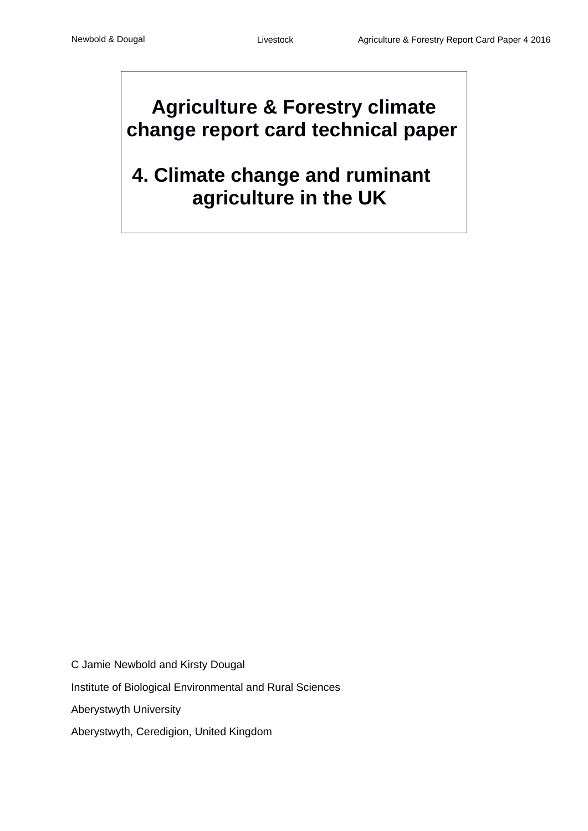# **Agriculture & Forestry climate change report card technical paper**

# **4. Climate change and ruminant agriculture in the UK**

C Jamie Newbold and Kirsty Dougal Institute of Biological Environmental and Rural Sciences Aberystwyth University Aberystwyth, Ceredigion, United Kingdom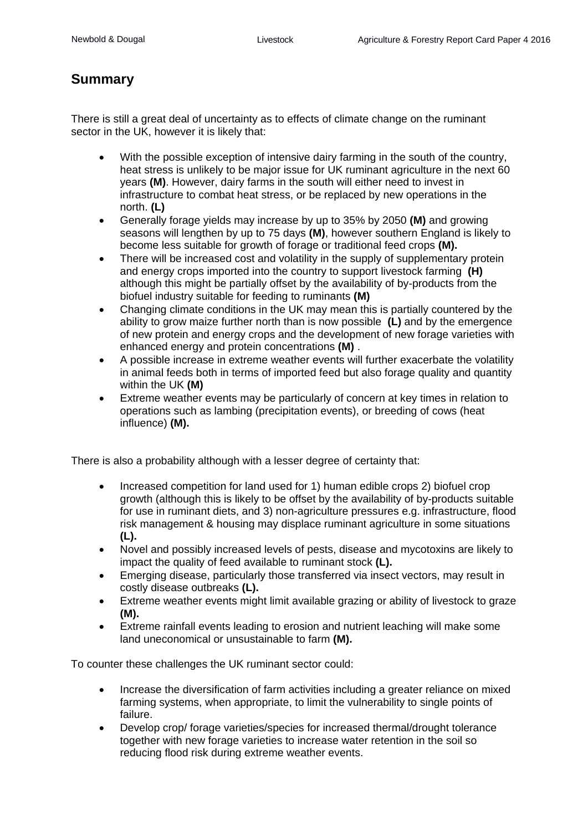# **Summary**

There is still a great deal of uncertainty as to effects of climate change on the ruminant sector in the UK, however it is likely that:

- With the possible exception of intensive dairy farming in the south of the country, heat stress is unlikely to be major issue for UK ruminant agriculture in the next 60 years **(M)**. However, dairy farms in the south will either need to invest in infrastructure to combat heat stress, or be replaced by new operations in the north. **(L)**
- Generally forage yields may increase by up to 35% by 2050 **(M)** and growing seasons will lengthen by up to 75 days **(M)**, however southern England is likely to become less suitable for growth of forage or traditional feed crops **(M).**
- There will be increased cost and volatility in the supply of supplementary protein and energy crops imported into the country to support livestock farming **(H)**  although this might be partially offset by the availability of by-products from the biofuel industry suitable for feeding to ruminants **(M)**
- Changing climate conditions in the UK may mean this is partially countered by the ability to grow maize further north than is now possible **(L)** and by the emergence of new protein and energy crops and the development of new forage varieties with enhanced energy and protein concentrations **(M)** .
- A possible increase in extreme weather events will further exacerbate the volatility in animal feeds both in terms of imported feed but also forage quality and quantity within the UK **(M)**
- Extreme weather events may be particularly of concern at key times in relation to operations such as lambing (precipitation events), or breeding of cows (heat influence) **(M).**

There is also a probability although with a lesser degree of certainty that:

- Increased competition for land used for 1) human edible crops 2) biofuel crop growth (although this is likely to be offset by the availability of by-products suitable for use in ruminant diets, and 3) non-agriculture pressures e.g. infrastructure, flood risk management & housing may displace ruminant agriculture in some situations **(L).**
- Novel and possibly increased levels of pests, disease and mycotoxins are likely to impact the quality of feed available to ruminant stock **(L).**
- Emerging disease, particularly those transferred via insect vectors, may result in costly disease outbreaks **(L).**
- Extreme weather events might limit available grazing or ability of livestock to graze **(M).**
- Extreme rainfall events leading to erosion and nutrient leaching will make some land uneconomical or unsustainable to farm **(M).**

To counter these challenges the UK ruminant sector could:

- Increase the diversification of farm activities including a greater reliance on mixed farming systems, when appropriate, to limit the vulnerability to single points of failure.
- Develop crop/ forage varieties/species for increased thermal/drought tolerance together with new forage varieties to increase water retention in the soil so reducing flood risk during extreme weather events.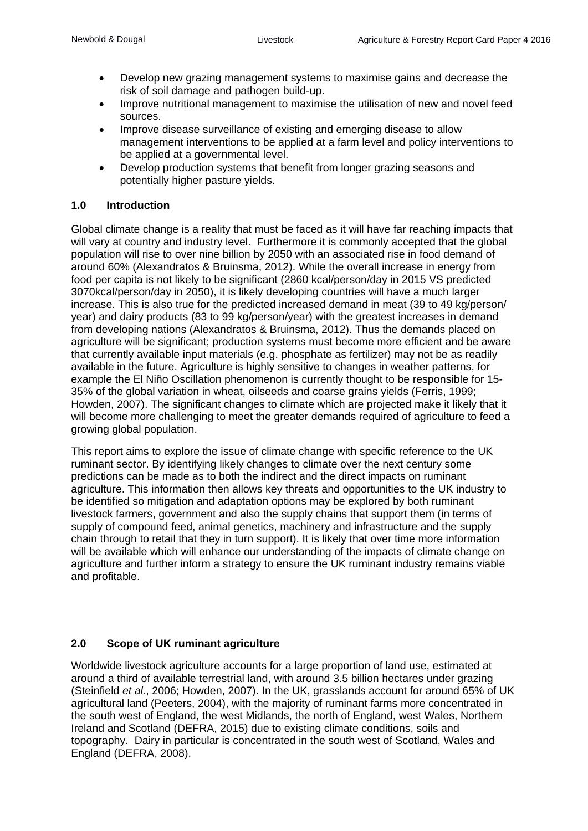- Develop new grazing management systems to maximise gains and decrease the risk of soil damage and pathogen build-up.
- Improve nutritional management to maximise the utilisation of new and novel feed sources.
- Improve disease surveillance of existing and emerging disease to allow management interventions to be applied at a farm level and policy interventions to be applied at a governmental level.
- Develop production systems that benefit from longer grazing seasons and potentially higher pasture yields.

#### **1.0 Introduction**

Global climate change is a reality that must be faced as it will have far reaching impacts that will vary at country and industry level. Furthermore it is commonly accepted that the global population will rise to over nine billion by 2050 with an associated rise in food demand of around 60% (Alexandratos & Bruinsma, 2012). While the overall increase in energy from food per capita is not likely to be significant (2860 kcal/person/day in 2015 VS predicted 3070kcal/person/day in 2050), it is likely developing countries will have a much larger increase. This is also true for the predicted increased demand in meat (39 to 49 kg/person/ year) and dairy products (83 to 99 kg/person/year) with the greatest increases in demand from developing nations (Alexandratos & Bruinsma, 2012). Thus the demands placed on agriculture will be significant; production systems must become more efficient and be aware that currently available input materials (e.g. phosphate as fertilizer) may not be as readily available in the future. Agriculture is highly sensitive to changes in weather patterns, for example the El Niño Oscillation phenomenon is currently thought to be responsible for 15- 35% of the global variation in wheat, oilseeds and coarse grains yields (Ferris, 1999; Howden, 2007). The significant changes to climate which are projected make it likely that it will become more challenging to meet the greater demands required of agriculture to feed a growing global population.

This report aims to explore the issue of climate change with specific reference to the UK ruminant sector. By identifying likely changes to climate over the next century some predictions can be made as to both the indirect and the direct impacts on ruminant agriculture. This information then allows key threats and opportunities to the UK industry to be identified so mitigation and adaptation options may be explored by both ruminant livestock farmers, government and also the supply chains that support them (in terms of supply of compound feed, animal genetics, machinery and infrastructure and the supply chain through to retail that they in turn support). It is likely that over time more information will be available which will enhance our understanding of the impacts of climate change on agriculture and further inform a strategy to ensure the UK ruminant industry remains viable and profitable.

#### **2.0 Scope of UK ruminant agriculture**

Worldwide livestock agriculture accounts for a large proportion of land use, estimated at around a third of available terrestrial land, with around 3.5 billion hectares under grazing (Steinfield *et al.*, 2006; Howden, 2007). In the UK, grasslands account for around 65% of UK agricultural land (Peeters, 2004), with the majority of ruminant farms more concentrated in the south west of England, the west Midlands, the north of England, west Wales, Northern Ireland and Scotland (DEFRA, 2015) due to existing climate conditions, soils and topography. Dairy in particular is concentrated in the south west of Scotland, Wales and England (DEFRA, 2008).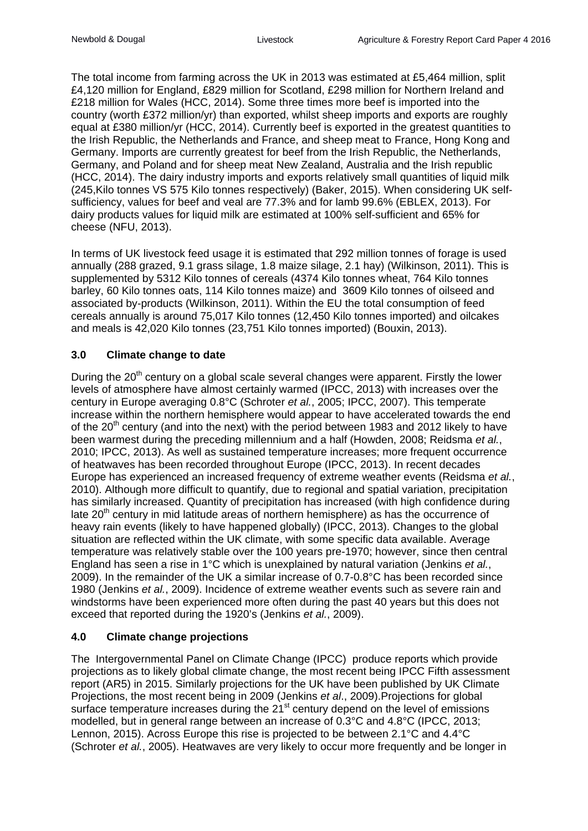The total income from farming across the UK in 2013 was estimated at £5,464 million, split £4,120 million for England, £829 million for Scotland, £298 million for Northern Ireland and £218 million for Wales (HCC, 2014). Some three times more beef is imported into the country (worth £372 million/yr) than exported, whilst sheep imports and exports are roughly equal at £380 million/yr (HCC, 2014). Currently beef is exported in the greatest quantities to the Irish Republic, the Netherlands and France, and sheep meat to France, Hong Kong and Germany. Imports are currently greatest for beef from the Irish Republic, the Netherlands, Germany, and Poland and for sheep meat New Zealand, Australia and the Irish republic (HCC, 2014). The dairy industry imports and exports relatively small quantities of liquid milk (245,Kilo tonnes VS 575 Kilo tonnes respectively) (Baker, 2015). When considering UK selfsufficiency, values for beef and veal are 77.3% and for lamb 99.6% (EBLEX, 2013). For dairy products values for liquid milk are estimated at 100% self-sufficient and 65% for cheese (NFU, 2013).

In terms of UK livestock feed usage it is estimated that 292 million tonnes of forage is used annually (288 grazed, 9.1 grass silage, 1.8 maize silage, 2.1 hay) (Wilkinson, 2011). This is supplemented by 5312 Kilo tonnes of cereals (4374 Kilo tonnes wheat, 764 Kilo tonnes barley, 60 Kilo tonnes oats, 114 Kilo tonnes maize) and 3609 Kilo tonnes of oilseed and associated by-products (Wilkinson, 2011). Within the EU the total consumption of feed cereals annually is around 75,017 Kilo tonnes (12,450 Kilo tonnes imported) and oilcakes and meals is 42,020 Kilo tonnes (23,751 Kilo tonnes imported) (Bouxin, 2013).

## **3.0 Climate change to date**

During the  $20<sup>th</sup>$  century on a global scale several changes were apparent. Firstly the lower levels of atmosphere have almost certainly warmed (IPCC, 2013) with increases over the century in Europe averaging 0.8°C (Schroter *et al.*, 2005; IPCC, 2007). This temperate increase within the northern hemisphere would appear to have accelerated towards the end of the 20<sup>th</sup> century (and into the next) with the period between 1983 and 2012 likely to have been warmest during the preceding millennium and a half (Howden, 2008; Reidsma *et al.*, 2010; IPCC, 2013). As well as sustained temperature increases; more frequent occurrence of heatwaves has been recorded throughout Europe (IPCC, 2013). In recent decades Europe has experienced an increased frequency of extreme weather events (Reidsma *et al.*, 2010). Although more difficult to quantify, due to regional and spatial variation, precipitation has similarly increased. Quantity of precipitation has increased (with high confidence during late 20<sup>th</sup> century in mid latitude areas of northern hemisphere) as has the occurrence of heavy rain events (likely to have happened globally) (IPCC, 2013). Changes to the global situation are reflected within the UK climate, with some specific data available. Average temperature was relatively stable over the 100 years pre-1970; however, since then central England has seen a rise in 1°C which is unexplained by natural variation (Jenkins *et al.*, 2009). In the remainder of the UK a similar increase of 0.7-0.8°C has been recorded since 1980 (Jenkins *et al.*, 2009). Incidence of extreme weather events such as severe rain and windstorms have been experienced more often during the past 40 years but this does not exceed that reported during the 1920's (Jenkins *et al.*, 2009).

#### **4.0 Climate change projections**

The Intergovernmental Panel on Climate Change (IPCC) produce reports which provide projections as to likely global climate change, the most recent being IPCC Fifth assessment report (AR5) in 2015. Similarly projections for the UK have been published by UK Climate Projections, the most recent being in 2009 (Jenkins *et al*., 2009).Projections for global surface temperature increases during the  $21<sup>st</sup>$  century depend on the level of emissions modelled, but in general range between an increase of 0.3°C and 4.8°C (IPCC, 2013; Lennon, 2015). Across Europe this rise is projected to be between 2.1°C and 4.4°C (Schroter *et al.*, 2005). Heatwaves are very likely to occur more frequently and be longer in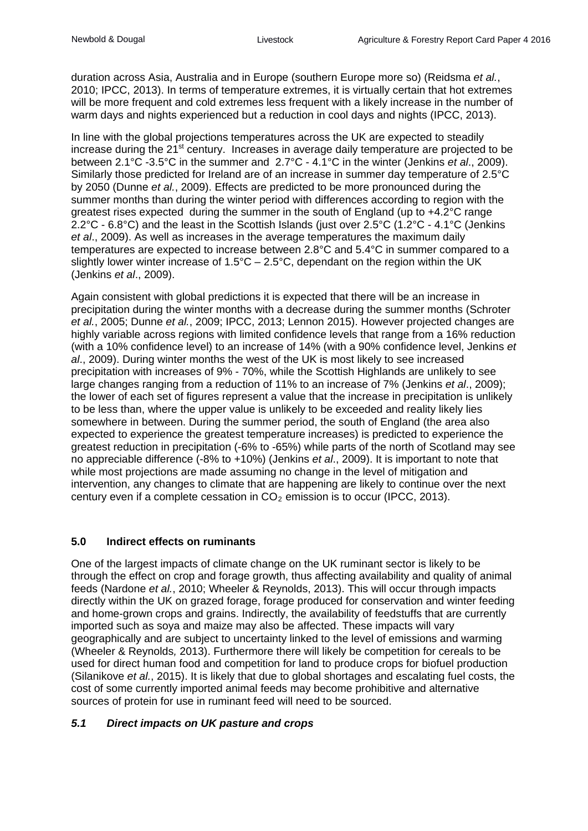duration across Asia, Australia and in Europe (southern Europe more so) (Reidsma *et al.*, 2010; IPCC, 2013). In terms of temperature extremes, it is virtually certain that hot extremes will be more frequent and cold extremes less frequent with a likely increase in the number of warm days and nights experienced but a reduction in cool days and nights (IPCC, 2013).

In line with the global projections temperatures across the UK are expected to steadily increase during the  $21<sup>st</sup>$  century. Increases in average daily temperature are projected to be between 2.1°C -3.5°C in the summer and 2.7°C - 4.1°C in the winter (Jenkins *et al*., 2009). Similarly those predicted for Ireland are of an increase in summer day temperature of 2.5°C by 2050 (Dunne *et al.*, 2009). Effects are predicted to be more pronounced during the summer months than during the winter period with differences according to region with the greatest rises expected during the summer in the south of England (up to +4.2°C range 2.2°C - 6.8°C) and the least in the Scottish Islands (just over 2.5°C (1.2°C - 4.1°C (Jenkins *et al*., 2009). As well as increases in the average temperatures the maximum daily temperatures are expected to increase between 2.8°C and 5.4°C in summer compared to a slightly lower winter increase of  $1.5^{\circ}C - 2.5^{\circ}C$ , dependant on the region within the UK (Jenkins *et al*., 2009).

Again consistent with global predictions it is expected that there will be an increase in precipitation during the winter months with a decrease during the summer months (Schroter *et al.*, 2005; Dunne *et al.*, 2009; IPCC, 2013; Lennon 2015). However projected changes are highly variable across regions with limited confidence levels that range from a 16% reduction (with a 10% confidence level) to an increase of 14% (with a 90% confidence level, Jenkins *et al*., 2009). During winter months the west of the UK is most likely to see increased precipitation with increases of 9% - 70%, while the Scottish Highlands are unlikely to see large changes ranging from a reduction of 11% to an increase of 7% (Jenkins *et al*., 2009); the lower of each set of figures represent a value that the increase in precipitation is unlikely to be less than, where the upper value is unlikely to be exceeded and reality likely lies somewhere in between. During the summer period, the south of England (the area also expected to experience the greatest temperature increases) is predicted to experience the greatest reduction in precipitation (-6% to -65%) while parts of the north of Scotland may see no appreciable difference (-8% to +10%) (Jenkins *et al*., 2009). It is important to note that while most projections are made assuming no change in the level of mitigation and intervention, any changes to climate that are happening are likely to continue over the next century even if a complete cessation in  $CO<sub>2</sub>$  emission is to occur (IPCC, 2013).

#### **5.0 Indirect effects on ruminants**

One of the largest impacts of climate change on the UK ruminant sector is likely to be through the effect on crop and forage growth, thus affecting availability and quality of animal feeds (Nardone *et al.*, 2010; Wheeler & Reynolds, 2013). This will occur through impacts directly within the UK on grazed forage, forage produced for conservation and winter feeding and home-grown crops and grains. Indirectly, the availability of feedstuffs that are currently imported such as soya and maize may also be affected. These impacts will vary geographically and are subject to uncertainty linked to the level of emissions and warming (Wheeler & Reynolds*,* 2013). Furthermore there will likely be competition for cereals to be used for direct human food and competition for land to produce crops for biofuel production (Silanikove *et al.*, 2015). It is likely that due to global shortages and escalating fuel costs, the cost of some currently imported animal feeds may become prohibitive and alternative sources of protein for use in ruminant feed will need to be sourced.

#### *5.1 Direct impacts on UK pasture and crops*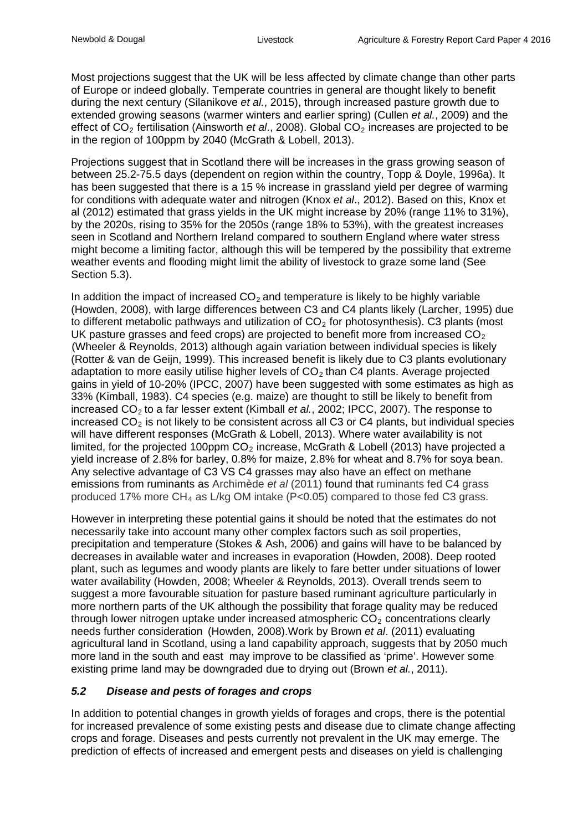Most projections suggest that the UK will be less affected by climate change than other parts of Europe or indeed globally. Temperate countries in general are thought likely to benefit during the next century (Silanikove *et al.*, 2015), through increased pasture growth due to extended growing seasons (warmer winters and earlier spring) (Cullen *et al.*, 2009) and the effect of CO<sub>2</sub> fertilisation (Ainsworth *et al.*, 2008). Global CO<sub>2</sub> increases are projected to be in the region of 100ppm by 2040 (McGrath & Lobell, 2013).

Projections suggest that in Scotland there will be increases in the grass growing season of between 25.2-75.5 days (dependent on region within the country, Topp & Doyle, 1996a). It has been suggested that there is a 15 % increase in grassland yield per degree of warming for conditions with adequate water and nitrogen (Knox *et al*., 2012). Based on this, Knox et al (2012) estimated that grass yields in the UK might increase by 20% (range 11% to 31%), by the 2020s, rising to 35% for the 2050s (range 18% to 53%), with the greatest increases seen in Scotland and Northern Ireland compared to southern England where water stress might become a limiting factor, although this will be tempered by the possibility that extreme weather events and flooding might limit the ability of livestock to graze some land (See Section 5.3).

In addition the impact of increased  $CO<sub>2</sub>$  and temperature is likely to be highly variable (Howden, 2008), with large differences between C3 and C4 plants likely (Larcher, 1995) due to different metabolic pathways and utilization of  $CO<sub>2</sub>$  for photosynthesis). C3 plants (most UK pasture grasses and feed crops) are projected to benefit more from increased  $CO<sub>2</sub>$ (Wheeler & Reynolds, 2013) although again variation between individual species is likely (Rotter & van de Geijn, 1999). This increased benefit is likely due to C3 plants evolutionary adaptation to more easily utilise higher levels of  $CO<sub>2</sub>$  than  $CA$  plants. Average projected gains in yield of 10-20% (IPCC, 2007) have been suggested with some estimates as high as 33% (Kimball, 1983). C4 species (e.g. maize) are thought to still be likely to benefit from increased CO2 to a far lesser extent (Kimball *et al.*, 2002; IPCC, 2007). The response to increased  $CO<sub>2</sub>$  is not likely to be consistent across all C3 or C4 plants, but individual species will have different responses (McGrath & Lobell, 2013). Where water availability is not limited, for the projected 100ppm  $CO<sub>2</sub>$  increase, McGrath & Lobell (2013) have projected a yield increase of 2.8% for barley, 0.8% for maize, 2.8% for wheat and 8.7% for soya bean. Any selective advantage of C3 VS C4 grasses may also have an effect on methane emissions from ruminants as Archimède *et al* (2011) found that ruminants fed C4 grass produced 17% more  $CH_4$  as L/kg OM intake (P<0.05) compared to those fed C3 grass.

However in interpreting these potential gains it should be noted that the estimates do not necessarily take into account many other complex factors such as soil properties, precipitation and temperature (Stokes & Ash, 2006) and gains will have to be balanced by decreases in available water and increases in evaporation (Howden, 2008). Deep rooted plant, such as legumes and woody plants are likely to fare better under situations of lower water availability (Howden, 2008; Wheeler & Reynolds, 2013). Overall trends seem to suggest a more favourable situation for pasture based ruminant agriculture particularly in more northern parts of the UK although the possibility that forage quality may be reduced through lower nitrogen uptake under increased atmospheric  $CO<sub>2</sub>$  concentrations clearly needs further consideration (Howden, 2008).Work by Brown *et al*. (2011) evaluating agricultural land in Scotland, using a land capability approach, suggests that by 2050 much more land in the south and east may improve to be classified as 'prime'. However some existing prime land may be downgraded due to drying out (Brown *et al.*, 2011).

# *5.2 Disease and pests of forages and crops*

In addition to potential changes in growth yields of forages and crops, there is the potential for increased prevalence of some existing pests and disease due to climate change affecting crops and forage. Diseases and pests currently not prevalent in the UK may emerge. The prediction of effects of increased and emergent pests and diseases on yield is challenging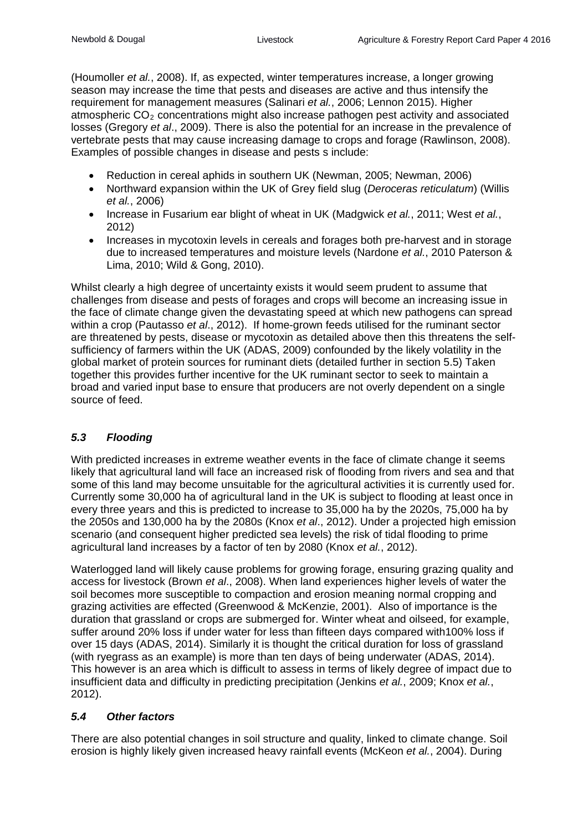(Houmoller *et al.*, 2008). If, as expected, winter temperatures increase, a longer growing season may increase the time that pests and diseases are active and thus intensify the requirement for management measures (Salinari *et al.*, 2006; Lennon 2015). Higher atmospheric  $CO<sub>2</sub>$  concentrations might also increase pathogen pest activity and associated losses (Gregory *et al*., 2009). There is also the potential for an increase in the prevalence of vertebrate pests that may cause increasing damage to crops and forage (Rawlinson, 2008). Examples of possible changes in disease and pests s include:

- Reduction in cereal aphids in southern UK (Newman, 2005; Newman, 2006)
- Northward expansion within the UK of Grey field slug (*Deroceras reticulatum*) (Willis *et al.*, 2006)
- Increase in Fusarium ear blight of wheat in UK (Madgwick *et al.*, 2011; West *et al.*, 2012)
- Increases in mycotoxin levels in cereals and forages both pre-harvest and in storage due to increased temperatures and moisture levels (Nardone *et al.*, 2010 Paterson & Lima, 2010; Wild & Gong, 2010).

Whilst clearly a high degree of uncertainty exists it would seem prudent to assume that challenges from disease and pests of forages and crops will become an increasing issue in the face of climate change given the devastating speed at which new pathogens can spread within a crop (Pautasso *et al*., 2012). If home-grown feeds utilised for the ruminant sector are threatened by pests, disease or mycotoxin as detailed above then this threatens the selfsufficiency of farmers within the UK (ADAS, 2009) confounded by the likely volatility in the global market of protein sources for ruminant diets (detailed further in section 5.5) Taken together this provides further incentive for the UK ruminant sector to seek to maintain a broad and varied input base to ensure that producers are not overly dependent on a single source of feed.

#### *5.3 Flooding*

With predicted increases in extreme weather events in the face of climate change it seems likely that agricultural land will face an increased risk of flooding from rivers and sea and that some of this land may become unsuitable for the agricultural activities it is currently used for. Currently some 30,000 ha of agricultural land in the UK is subject to flooding at least once in every three years and this is predicted to increase to 35,000 ha by the 2020s, 75,000 ha by the 2050s and 130,000 ha by the 2080s (Knox *et al*., 2012). Under a projected high emission scenario (and consequent higher predicted sea levels) the risk of tidal flooding to prime agricultural land increases by a factor of ten by 2080 (Knox *et al.*, 2012).

Waterlogged land will likely cause problems for growing forage, ensuring grazing quality and access for livestock (Brown *et al*., 2008). When land experiences higher levels of water the soil becomes more susceptible to compaction and erosion meaning normal cropping and grazing activities are effected (Greenwood & McKenzie, 2001). Also of importance is the duration that grassland or crops are submerged for. Winter wheat and oilseed, for example, suffer around 20% loss if under water for less than fifteen days compared with100% loss if over 15 days (ADAS, 2014). Similarly it is thought the critical duration for loss of grassland (with ryegrass as an example) is more than ten days of being underwater (ADAS, 2014). This however is an area which is difficult to assess in terms of likely degree of impact due to insufficient data and difficulty in predicting precipitation (Jenkins *et al.*, 2009; Knox *et al.*, 2012).

# *5.4 Other factors*

There are also potential changes in soil structure and quality, linked to climate change. Soil erosion is highly likely given increased heavy rainfall events (McKeon *et al.*, 2004). During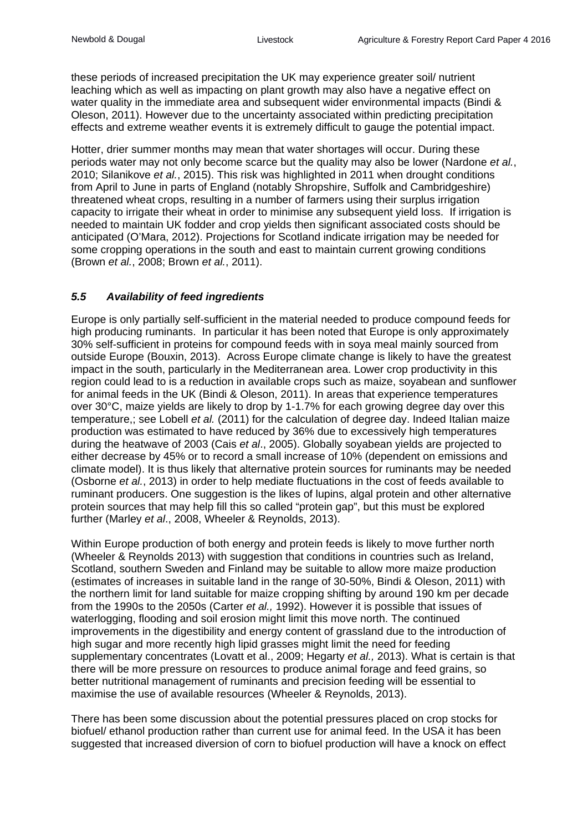these periods of increased precipitation the UK may experience greater soil/ nutrient leaching which as well as impacting on plant growth may also have a negative effect on water quality in the immediate area and subsequent wider environmental impacts (Bindi & Oleson, 2011). However due to the uncertainty associated within predicting precipitation effects and extreme weather events it is extremely difficult to gauge the potential impact.

Hotter, drier summer months may mean that water shortages will occur. During these periods water may not only become scarce but the quality may also be lower (Nardone *et al.*, 2010; Silanikove *et al.*, 2015). This risk was highlighted in 2011 when drought conditions from April to June in parts of England (notably Shropshire, Suffolk and Cambridgeshire) threatened wheat crops, resulting in a number of farmers using their surplus irrigation capacity to irrigate their wheat in order to minimise any subsequent yield loss. If irrigation is needed to maintain UK fodder and crop yields then significant associated costs should be anticipated (O'Mara, 2012). Projections for Scotland indicate irrigation may be needed for some cropping operations in the south and east to maintain current growing conditions (Brown *et al.*, 2008; Brown *et al.*, 2011).

## *5.5 Availability of feed ingredients*

Europe is only partially self-sufficient in the material needed to produce compound feeds for high producing ruminants. In particular it has been noted that Europe is only approximately 30% self-sufficient in proteins for compound feeds with in soya meal mainly sourced from outside Europe (Bouxin, 2013). Across Europe climate change is likely to have the greatest impact in the south, particularly in the Mediterranean area. Lower crop productivity in this region could lead to is a reduction in available crops such as maize, soyabean and sunflower for animal feeds in the UK (Bindi & Oleson, 2011). In areas that experience temperatures over 30°C, maize yields are likely to drop by 1-1.7% for each growing degree day over this temperature,; see Lobell *et al.* (2011) for the calculation of degree day. Indeed Italian maize production was estimated to have reduced by 36% due to excessively high temperatures during the heatwave of 2003 (Cais *et al*., 2005). Globally soyabean yields are projected to either decrease by 45% or to record a small increase of 10% (dependent on emissions and climate model). It is thus likely that alternative protein sources for ruminants may be needed (Osborne *et al.*, 2013) in order to help mediate fluctuations in the cost of feeds available to ruminant producers. One suggestion is the likes of lupins, algal protein and other alternative protein sources that may help fill this so called "protein gap", but this must be explored further (Marley *et al*., 2008, Wheeler & Reynolds, 2013).

Within Europe production of both energy and protein feeds is likely to move further north (Wheeler & Reynolds 2013) with suggestion that conditions in countries such as Ireland, Scotland, southern Sweden and Finland may be suitable to allow more maize production (estimates of increases in suitable land in the range of 30-50%, Bindi & Oleson, 2011) with the northern limit for land suitable for maize cropping shifting by around 190 km per decade from the 1990s to the 2050s (Carter *et al.,* 1992). However it is possible that issues of waterlogging, flooding and soil erosion might limit this move north. The continued improvements in the digestibility and energy content of grassland due to the introduction of high sugar and more recently high lipid grasses might limit the need for feeding supplementary concentrates (Lovatt et al., 2009; Hegarty *et al.,* 2013). What is certain is that there will be more pressure on resources to produce animal forage and feed grains, so better nutritional management of ruminants and precision feeding will be essential to maximise the use of available resources (Wheeler & Reynolds, 2013).

There has been some discussion about the potential pressures placed on crop stocks for biofuel/ ethanol production rather than current use for animal feed. In the USA it has been suggested that increased diversion of corn to biofuel production will have a knock on effect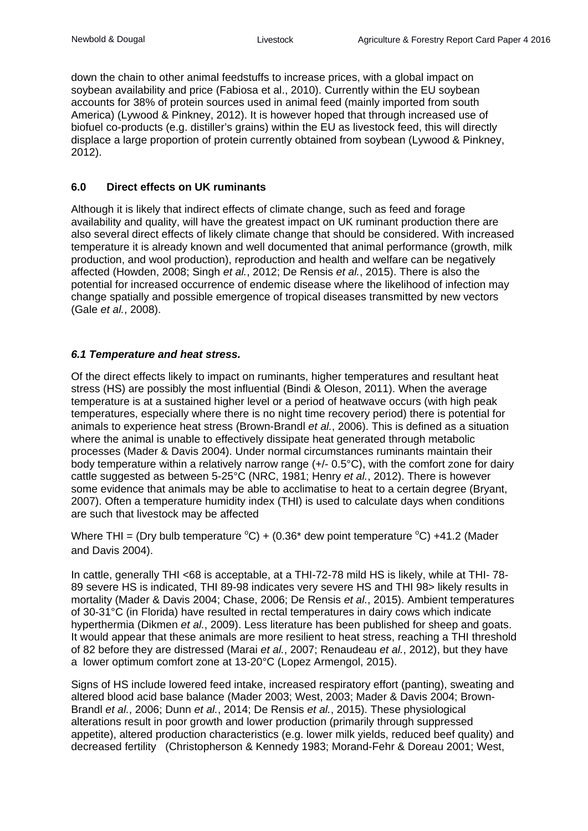down the chain to other animal feedstuffs to increase prices, with a global impact on soybean availability and price (Fabiosa et al., 2010). Currently within the EU soybean accounts for 38% of protein sources used in animal feed (mainly imported from south America) (Lywood & Pinkney, 2012). It is however hoped that through increased use of biofuel co-products (e.g. distiller's grains) within the EU as livestock feed, this will directly displace a large proportion of protein currently obtained from soybean (Lywood & Pinkney, 2012).

#### **6.0 Direct effects on UK ruminants**

Although it is likely that indirect effects of climate change, such as feed and forage availability and quality, will have the greatest impact on UK ruminant production there are also several direct effects of likely climate change that should be considered. With increased temperature it is already known and well documented that animal performance (growth, milk production, and wool production), reproduction and health and welfare can be negatively affected (Howden, 2008; Singh *et al.*, 2012; De Rensis *et al.*, 2015). There is also the potential for increased occurrence of endemic disease where the likelihood of infection may change spatially and possible emergence of tropical diseases transmitted by new vectors (Gale *et al.*, 2008).

#### *6.1 Temperature and heat stress.*

Of the direct effects likely to impact on ruminants, higher temperatures and resultant heat stress (HS) are possibly the most influential (Bindi & Oleson, 2011). When the average temperature is at a sustained higher level or a period of heatwave occurs (with high peak temperatures, especially where there is no night time recovery period) there is potential for animals to experience heat stress (Brown-Brandl *et al.*, 2006). This is defined as a situation where the animal is unable to effectively dissipate heat generated through metabolic processes (Mader & Davis 2004). Under normal circumstances ruminants maintain their body temperature within a relatively narrow range (+/- 0.5°C), with the comfort zone for dairy cattle suggested as between 5-25°C (NRC, 1981; Henry *et al.*, 2012). There is however some evidence that animals may be able to acclimatise to heat to a certain degree (Bryant, 2007). Often a temperature humidity index (THI) is used to calculate days when conditions are such that livestock may be affected

Where THI = (Dry bulb temperature  $^{\circ}C$ ) + (0.36\* dew point temperature  $^{\circ}C$ ) +41.2 (Mader and Davis 2004).

In cattle, generally THI <68 is acceptable, at a THI-72-78 mild HS is likely, while at THI- 78- 89 severe HS is indicated, THI 89-98 indicates very severe HS and THI 98> likely results in mortality (Mader & Davis 2004; Chase, 2006; De Rensis *et al.*, 2015). Ambient temperatures of 30-31°C (in Florida) have resulted in rectal temperatures in dairy cows which indicate hyperthermia (Dikmen *et al.*, 2009). Less literature has been published for sheep and goats. It would appear that these animals are more resilient to heat stress, reaching a THI threshold of 82 before they are distressed (Marai *et al.*, 2007; Renaudeau *et al.*, 2012), but they have a lower optimum comfort zone at 13-20°C (Lopez Armengol, 2015).

Signs of HS include lowered feed intake, increased respiratory effort (panting), sweating and altered blood acid base balance (Mader 2003; West, 2003; Mader & Davis 2004; Brown-Brandl *et al.*, 2006; Dunn *et al.*, 2014; De Rensis *et al.*, 2015). These physiological alterations result in poor growth and lower production (primarily through suppressed appetite), altered production characteristics (e.g. lower milk yields, reduced beef quality) and decreased fertility (Christopherson & Kennedy 1983; Morand-Fehr & Doreau 2001; West,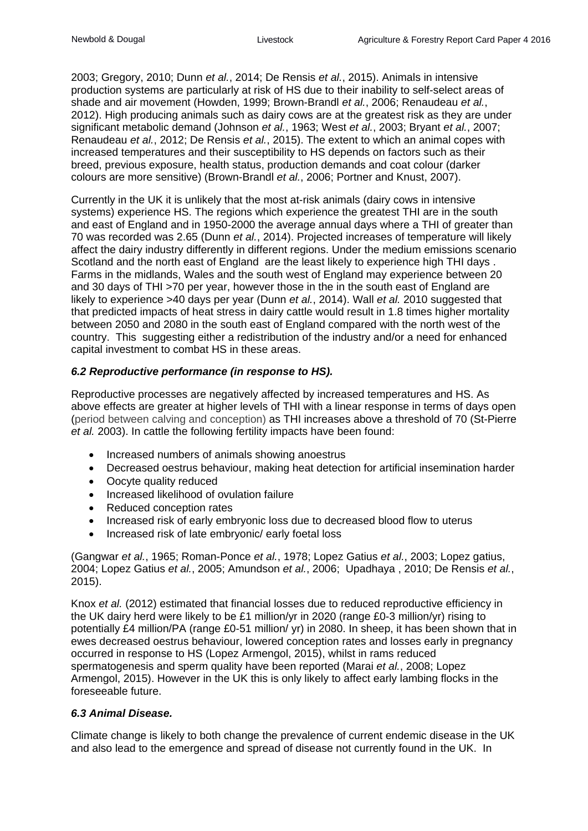2003; Gregory, 2010; Dunn *et al.*, 2014; De Rensis *et al.*, 2015). Animals in intensive production systems are particularly at risk of HS due to their inability to self-select areas of shade and air movement (Howden, 1999; Brown-Brandl *et al.*, 2006; Renaudeau *et al.*, 2012). High producing animals such as dairy cows are at the greatest risk as they are under significant metabolic demand (Johnson *et al.*, 1963; West *et al.*, 2003; Bryant *et al.*, 2007; Renaudeau *et al.*, 2012; De Rensis *et al.*, 2015). The extent to which an animal copes with increased temperatures and their susceptibility to HS depends on factors such as their breed, previous exposure, health status, production demands and coat colour (darker colours are more sensitive) (Brown-Brandl *et al.*, 2006; Portner and Knust, 2007).

Currently in the UK it is unlikely that the most at-risk animals (dairy cows in intensive systems) experience HS. The regions which experience the greatest THI are in the south and east of England and in 1950-2000 the average annual days where a THI of greater than 70 was recorded was 2.65 (Dunn *et al.*, 2014). Projected increases of temperature will likely affect the dairy industry differently in different regions. Under the medium emissions scenario Scotland and the north east of England are the least likely to experience high THI days . Farms in the midlands, Wales and the south west of England may experience between 20 and 30 days of THI >70 per year, however those in the in the south east of England are likely to experience >40 days per year (Dunn *et al.*, 2014). Wall *et al.* 2010 suggested that that predicted impacts of heat stress in dairy cattle would result in 1.8 times higher mortality between 2050 and 2080 in the south east of England compared with the north west of the country. This suggesting either a redistribution of the industry and/or a need for enhanced capital investment to combat HS in these areas.

#### *6.2 Reproductive performance (in response to HS).*

Reproductive processes are negatively affected by increased temperatures and HS. As above effects are greater at higher levels of THI with a linear response in terms of days open (period between calving and conception) as THI increases above a threshold of 70 (St-Pierre *et al.* 2003). In cattle the following fertility impacts have been found:

- Increased numbers of animals showing anoestrus
- Decreased oestrus behaviour, making heat detection for artificial insemination harder
- Oocyte quality reduced
- Increased likelihood of ovulation failure
- Reduced conception rates
- Increased risk of early embryonic loss due to decreased blood flow to uterus
- Increased risk of late embryonic/ early foetal loss

(Gangwar *et al.*, 1965; Roman-Ponce *et al.*, 1978; Lopez Gatius *et al.*, 2003; Lopez gatius, 2004; Lopez Gatius *et al.*, 2005; Amundson *et al.*, 2006; Upadhaya , 2010; De Rensis *et al.*, 2015).

Knox *et al.* (2012) estimated that financial losses due to reduced reproductive efficiency in the UK dairy herd were likely to be £1 million/yr in 2020 (range £0-3 million/yr) rising to potentially £4 million/PA (range £0-51 million/ yr) in 2080. In sheep, it has been shown that in ewes decreased oestrus behaviour, lowered conception rates and losses early in pregnancy occurred in response to HS (Lopez Armengol, 2015), whilst in rams reduced spermatogenesis and sperm quality have been reported (Marai *et al.*, 2008; Lopez Armengol, 2015). However in the UK this is only likely to affect early lambing flocks in the foreseeable future.

#### *6.3 Animal Disease.*

Climate change is likely to both change the prevalence of current endemic disease in the UK and also lead to the emergence and spread of disease not currently found in the UK. In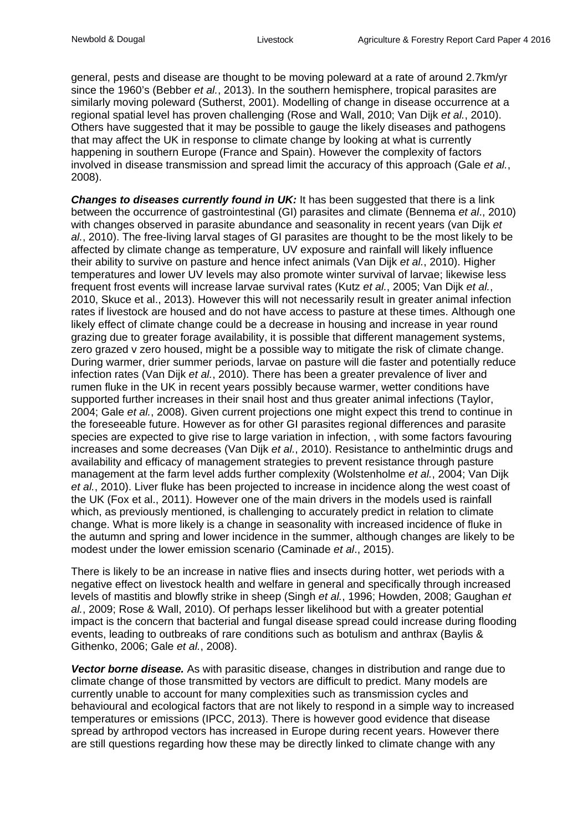general, pests and disease are thought to be moving poleward at a rate of around 2.7km/yr since the 1960's (Bebber *et al.*, 2013). In the southern hemisphere, tropical parasites are similarly moving poleward (Sutherst, 2001). Modelling of change in disease occurrence at a regional spatial level has proven challenging (Rose and Wall, 2010; Van Dijk *et al.*, 2010). Others have suggested that it may be possible to gauge the likely diseases and pathogens that may affect the UK in response to climate change by looking at what is currently happening in southern Europe (France and Spain). However the complexity of factors involved in disease transmission and spread limit the accuracy of this approach (Gale *et al.*, 2008).

*Changes to diseases currently found in UK:* It has been suggested that there is a link between the occurrence of gastrointestinal (GI) parasites and climate (Bennema *et al*., 2010) with changes observed in parasite abundance and seasonality in recent years (van Dijk *et al.*, 2010). The free-living larval stages of GI parasites are thought to be the most likely to be affected by climate change as temperature, UV exposure and rainfall will likely influence their ability to survive on pasture and hence infect animals (Van Dijk *et al.*, 2010). Higher temperatures and lower UV levels may also promote winter survival of larvae; likewise less frequent frost events will increase larvae survival rates (Kutz *et al.*, 2005; Van Dijk *et al.*, 2010, Skuce et al., 2013). However this will not necessarily result in greater animal infection rates if livestock are housed and do not have access to pasture at these times. Although one likely effect of climate change could be a decrease in housing and increase in year round grazing due to greater forage availability, it is possible that different management systems, zero grazed v zero housed, might be a possible way to mitigate the risk of climate change. During warmer, drier summer periods, larvae on pasture will die faster and potentially reduce infection rates (Van Dijk *et al.*, 2010). There has been a greater prevalence of liver and rumen fluke in the UK in recent years possibly because warmer, wetter conditions have supported further increases in their snail host and thus greater animal infections (Taylor, 2004; Gale *et al.*, 2008). Given current projections one might expect this trend to continue in the foreseeable future. However as for other GI parasites regional differences and parasite species are expected to give rise to large variation in infection, , with some factors favouring increases and some decreases (Van Dijk *et al.*, 2010). Resistance to anthelmintic drugs and availability and efficacy of management strategies to prevent resistance through pasture management at the farm level adds further complexity (Wolstenholme *et al.*, 2004; Van Dijk *et al.*, 2010). Liver fluke has been projected to increase in incidence along the west coast of the UK (Fox et al., 2011). However one of the main drivers in the models used is rainfall which, as previously mentioned, is challenging to accurately predict in relation to climate change. What is more likely is a change in seasonality with increased incidence of fluke in the autumn and spring and lower incidence in the summer, although changes are likely to be modest under the lower emission scenario (Caminade *et al*., 2015).

There is likely to be an increase in native flies and insects during hotter, wet periods with a negative effect on livestock health and welfare in general and specifically through increased levels of mastitis and blowfly strike in sheep (Singh *et al.*, 1996; Howden, 2008; Gaughan *et al.*, 2009; Rose & Wall, 2010). Of perhaps lesser likelihood but with a greater potential impact is the concern that bacterial and fungal disease spread could increase during flooding events, leading to outbreaks of rare conditions such as botulism and anthrax (Baylis & Githenko, 2006; Gale *et al.*, 2008).

*Vector borne disease.* As with parasitic disease, changes in distribution and range due to climate change of those transmitted by vectors are difficult to predict. Many models are currently unable to account for many complexities such as transmission cycles and behavioural and ecological factors that are not likely to respond in a simple way to increased temperatures or emissions (IPCC, 2013). There is however good evidence that disease spread by arthropod vectors has increased in Europe during recent years. However there are still questions regarding how these may be directly linked to climate change with any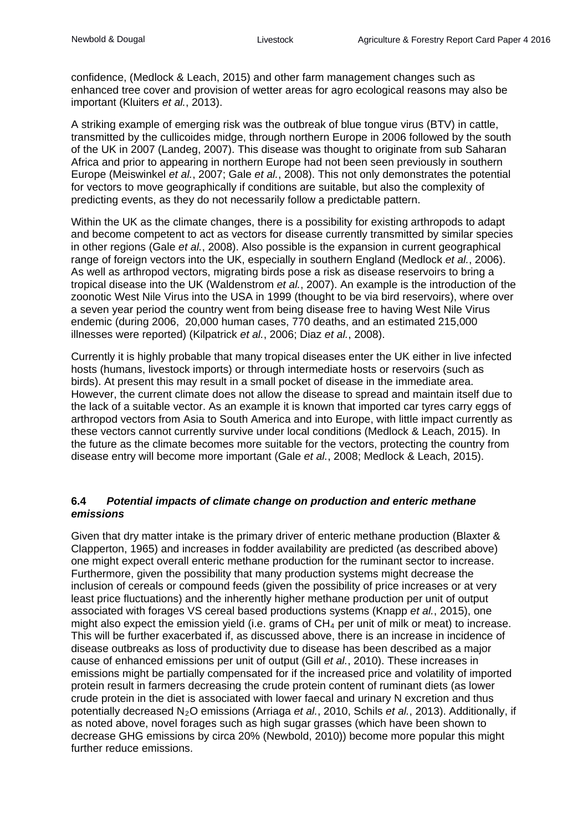confidence, (Medlock & Leach, 2015) and other farm management changes such as enhanced tree cover and provision of wetter areas for agro ecological reasons may also be important (Kluiters *et al.*, 2013).

A striking example of emerging risk was the outbreak of blue tongue virus (BTV) in cattle, transmitted by the cullicoides midge, through northern Europe in 2006 followed by the south of the UK in 2007 (Landeg, 2007). This disease was thought to originate from sub Saharan Africa and prior to appearing in northern Europe had not been seen previously in southern Europe (Meiswinkel *et al.*, 2007; Gale *et al.*, 2008). This not only demonstrates the potential for vectors to move geographically if conditions are suitable, but also the complexity of predicting events, as they do not necessarily follow a predictable pattern.

Within the UK as the climate changes, there is a possibility for existing arthropods to adapt and become competent to act as vectors for disease currently transmitted by similar species in other regions (Gale *et al.*, 2008). Also possible is the expansion in current geographical range of foreign vectors into the UK, especially in southern England (Medlock *et al.*, 2006). As well as arthropod vectors, migrating birds pose a risk as disease reservoirs to bring a tropical disease into the UK (Waldenstrom *et al.*, 2007). An example is the introduction of the zoonotic West Nile Virus into the USA in 1999 (thought to be via bird reservoirs), where over a seven year period the country went from being disease free to having West Nile Virus endemic (during 2006, 20,000 human cases, 770 deaths, and an estimated 215,000 illnesses were reported) (Kilpatrick *et al.*, 2006; Diaz *et al.*, 2008).

Currently it is highly probable that many tropical diseases enter the UK either in live infected hosts (humans, livestock imports) or through intermediate hosts or reservoirs (such as birds). At present this may result in a small pocket of disease in the immediate area. However, the current climate does not allow the disease to spread and maintain itself due to the lack of a suitable vector. As an example it is known that imported car tyres carry eggs of arthropod vectors from Asia to South America and into Europe, with little impact currently as these vectors cannot currently survive under local conditions (Medlock & Leach, 2015). In the future as the climate becomes more suitable for the vectors, protecting the country from disease entry will become more important (Gale *et al.*, 2008; Medlock & Leach, 2015).

#### **6.4** *Potential impacts of climate change on production and enteric methane emissions*

Given that dry matter intake is the primary driver of enteric methane production (Blaxter & Clapperton, 1965) and increases in fodder availability are predicted (as described above) one might expect overall enteric methane production for the ruminant sector to increase. Furthermore, given the possibility that many production systems might decrease the inclusion of cereals or compound feeds (given the possibility of price increases or at very least price fluctuations) and the inherently higher methane production per unit of output associated with forages VS cereal based productions systems (Knapp *et al.*, 2015), one might also expect the emission yield (i.e. grams of  $CH<sub>4</sub>$  per unit of milk or meat) to increase. This will be further exacerbated if, as discussed above, there is an increase in incidence of disease outbreaks as loss of productivity due to disease has been described as a major cause of enhanced emissions per unit of output (Gill *et al.*, 2010). These increases in emissions might be partially compensated for if the increased price and volatility of imported protein result in farmers decreasing the crude protein content of ruminant diets (as lower crude protein in the diet is associated with lower faecal and urinary N excretion and thus potentially decreased N2O emissions (Arriaga *et al.*, 2010, Schils *et al.*, 2013). Additionally, if as noted above, novel forages such as high sugar grasses (which have been shown to decrease GHG emissions by circa 20% (Newbold, 2010)) become more popular this might further reduce emissions.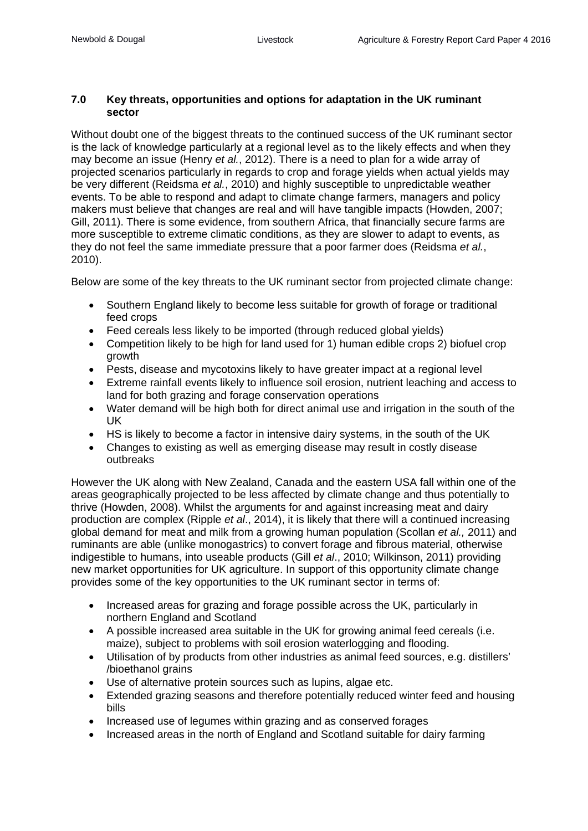#### **7.0 Key threats, opportunities and options for adaptation in the UK ruminant sector**

Without doubt one of the biggest threats to the continued success of the UK ruminant sector is the lack of knowledge particularly at a regional level as to the likely effects and when they may become an issue (Henry *et al.*, 2012). There is a need to plan for a wide array of projected scenarios particularly in regards to crop and forage yields when actual yields may be very different (Reidsma *et al.*, 2010) and highly susceptible to unpredictable weather events. To be able to respond and adapt to climate change farmers, managers and policy makers must believe that changes are real and will have tangible impacts (Howden, 2007; Gill, 2011). There is some evidence, from southern Africa, that financially secure farms are more susceptible to extreme climatic conditions, as they are slower to adapt to events, as they do not feel the same immediate pressure that a poor farmer does (Reidsma *et al.*, 2010).

Below are some of the key threats to the UK ruminant sector from projected climate change:

- Southern England likely to become less suitable for growth of forage or traditional feed crops
- Feed cereals less likely to be imported (through reduced global yields)
- Competition likely to be high for land used for 1) human edible crops 2) biofuel crop growth
- Pests, disease and mycotoxins likely to have greater impact at a regional level
- Extreme rainfall events likely to influence soil erosion, nutrient leaching and access to land for both grazing and forage conservation operations
- Water demand will be high both for direct animal use and irrigation in the south of the UK
- HS is likely to become a factor in intensive dairy systems, in the south of the UK
- Changes to existing as well as emerging disease may result in costly disease outbreaks

However the UK along with New Zealand, Canada and the eastern USA fall within one of the areas geographically projected to be less affected by climate change and thus potentially to thrive (Howden, 2008). Whilst the arguments for and against increasing meat and dairy production are complex (Ripple *et al*., 2014), it is likely that there will a continued increasing global demand for meat and milk from a growing human population (Scollan *et al.,* 2011) and ruminants are able (unlike monogastrics) to convert forage and fibrous material, otherwise indigestible to humans, into useable products (Gill *et al*., 2010; Wilkinson, 2011) providing new market opportunities for UK agriculture. In support of this opportunity climate change provides some of the key opportunities to the UK ruminant sector in terms of:

- Increased areas for grazing and forage possible across the UK, particularly in northern England and Scotland
- A possible increased area suitable in the UK for growing animal feed cereals (i.e. maize), subject to problems with soil erosion waterlogging and flooding.
- Utilisation of by products from other industries as animal feed sources, e.g. distillers' /bioethanol grains
- Use of alternative protein sources such as lupins, algae etc.
- Extended grazing seasons and therefore potentially reduced winter feed and housing bills
- Increased use of legumes within grazing and as conserved forages
- Increased areas in the north of England and Scotland suitable for dairy farming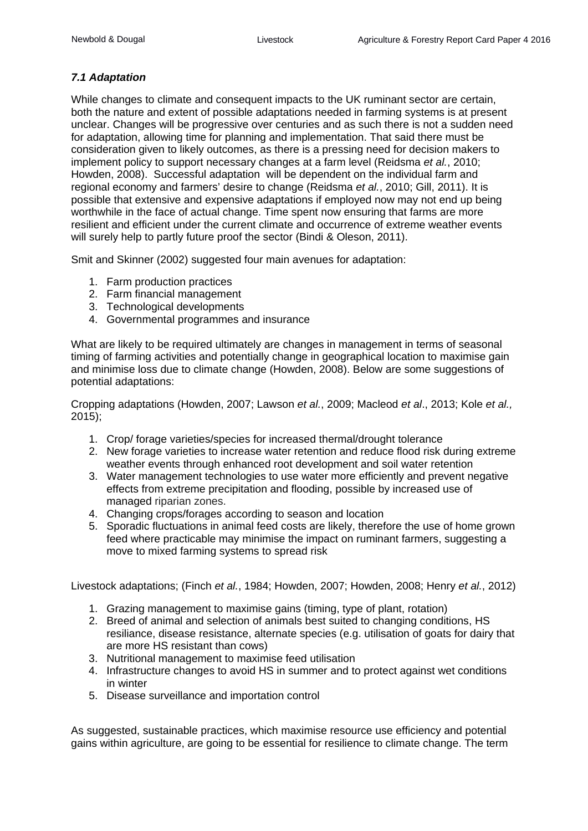## *7.1 Adaptation*

While changes to climate and consequent impacts to the UK ruminant sector are certain, both the nature and extent of possible adaptations needed in farming systems is at present unclear. Changes will be progressive over centuries and as such there is not a sudden need for adaptation, allowing time for planning and implementation. That said there must be consideration given to likely outcomes, as there is a pressing need for decision makers to implement policy to support necessary changes at a farm level (Reidsma *et al.*, 2010; Howden, 2008). Successful adaptation will be dependent on the individual farm and regional economy and farmers' desire to change (Reidsma *et al.*, 2010; Gill, 2011). It is possible that extensive and expensive adaptations if employed now may not end up being worthwhile in the face of actual change. Time spent now ensuring that farms are more resilient and efficient under the current climate and occurrence of extreme weather events will surely help to partly future proof the sector (Bindi & Oleson, 2011).

Smit and Skinner (2002) suggested four main avenues for adaptation:

- 1. Farm production practices
- 2. Farm financial management
- 3. Technological developments
- 4. Governmental programmes and insurance

What are likely to be required ultimately are changes in management in terms of seasonal timing of farming activities and potentially change in geographical location to maximise gain and minimise loss due to climate change (Howden, 2008). Below are some suggestions of potential adaptations:

Cropping adaptations (Howden, 2007; Lawson *et al.*, 2009; Macleod *et al*., 2013; Kole *et al.,* 2015);

- 1. Crop/ forage varieties/species for increased thermal/drought tolerance
- 2. New forage varieties to increase water retention and reduce flood risk during extreme weather events through enhanced root development and soil water retention
- 3. Water management technologies to use water more efficiently and prevent negative effects from extreme precipitation and flooding, possible by increased use of managed riparian zones.
- 4. Changing crops/forages according to season and location
- 5. Sporadic fluctuations in animal feed costs are likely, therefore the use of home grown feed where practicable may minimise the impact on ruminant farmers, suggesting a move to mixed farming systems to spread risk

Livestock adaptations; (Finch *et al.*, 1984; Howden, 2007; Howden, 2008; Henry *et al.*, 2012)

- 1. Grazing management to maximise gains (timing, type of plant, rotation)
- 2. Breed of animal and selection of animals best suited to changing conditions, HS resiliance, disease resistance, alternate species (e.g. utilisation of goats for dairy that are more HS resistant than cows)
- 3. Nutritional management to maximise feed utilisation
- 4. Infrastructure changes to avoid HS in summer and to protect against wet conditions in winter
- 5. Disease surveillance and importation control

As suggested, sustainable practices, which maximise resource use efficiency and potential gains within agriculture, are going to be essential for resilience to climate change. The term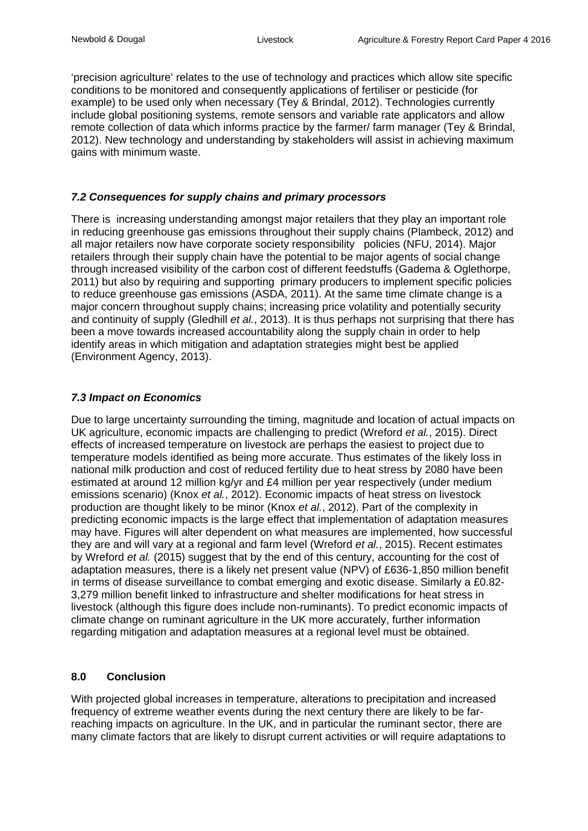'precision agriculture' relates to the use of technology and practices which allow site specific conditions to be monitored and consequently applications of fertiliser or pesticide (for example) to be used only when necessary (Tey & Brindal, 2012). Technologies currently include global positioning systems, remote sensors and variable rate applicators and allow remote collection of data which informs practice by the farmer/ farm manager (Tey & Brindal, 2012). New technology and understanding by stakeholders will assist in achieving maximum gains with minimum waste.

#### *7.2 Consequences for supply chains and primary processors*

There is increasing understanding amongst major retailers that they play an important role in reducing greenhouse gas emissions throughout their supply chains (Plambeck, 2012) and all major retailers now have corporate society responsibility policies (NFU, 2014). Major retailers through their supply chain have the potential to be major agents of social change through increased visibility of the carbon cost of different feedstuffs (Gadema & Oglethorpe, 2011) but also by requiring and supporting primary producers to implement specific policies to reduce greenhouse gas emissions (ASDA, 2011). At the same time climate change is a major concern throughout supply chains; increasing price volatility and potentially security and continuity of supply [\(Gledhill](http://www.pwc.com/gx/en/contacts/r/richard-gledhill.html) *et al.*, 2013). It is thus perhaps not surprising that there has been a move towards increased accountability along the supply chain in order to help identify areas in which mitigation and adaptation strategies might best be applied (Environment Agency, 2013).

#### *7.3 Impact on Economics*

Due to large uncertainty surrounding the timing, magnitude and location of actual impacts on UK agriculture, economic impacts are challenging to predict (Wreford *et al.*, 2015). Direct effects of increased temperature on livestock are perhaps the easiest to project due to temperature models identified as being more accurate. Thus estimates of the likely loss in national milk production and cost of reduced fertility due to heat stress by 2080 have been estimated at around 12 million kg/yr and £4 million per year respectively (under medium emissions scenario) (Knox *et al.*, 2012). Economic impacts of heat stress on livestock production are thought likely to be minor (Knox *et al.*, 2012). Part of the complexity in predicting economic impacts is the large effect that implementation of adaptation measures may have. Figures will alter dependent on what measures are implemented, how successful they are and will vary at a regional and farm level (Wreford *et al.*, 2015). Recent estimates by Wreford *et al.* (2015) suggest that by the end of this century, accounting for the cost of adaptation measures, there is a likely net present value (NPV) of £636-1,850 million benefit in terms of disease surveillance to combat emerging and exotic disease. Similarly a £0.82- 3,279 million benefit linked to infrastructure and shelter modifications for heat stress in livestock (although this figure does include non-ruminants). To predict economic impacts of climate change on ruminant agriculture in the UK more accurately, further information regarding mitigation and adaptation measures at a regional level must be obtained.

#### **8.0 Conclusion**

With projected global increases in temperature, alterations to precipitation and increased frequency of extreme weather events during the next century there are likely to be farreaching impacts on agriculture. In the UK, and in particular the ruminant sector, there are many climate factors that are likely to disrupt current activities or will require adaptations to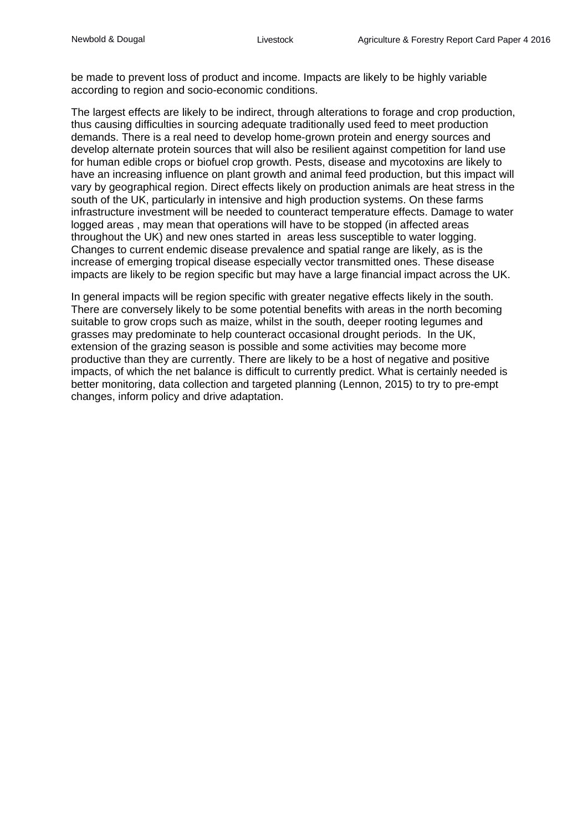be made to prevent loss of product and income. Impacts are likely to be highly variable according to region and socio-economic conditions.

The largest effects are likely to be indirect, through alterations to forage and crop production, thus causing difficulties in sourcing adequate traditionally used feed to meet production demands. There is a real need to develop home-grown protein and energy sources and develop alternate protein sources that will also be resilient against competition for land use for human edible crops or biofuel crop growth. Pests, disease and mycotoxins are likely to have an increasing influence on plant growth and animal feed production, but this impact will vary by geographical region. Direct effects likely on production animals are heat stress in the south of the UK, particularly in intensive and high production systems. On these farms infrastructure investment will be needed to counteract temperature effects. Damage to water logged areas , may mean that operations will have to be stopped (in affected areas throughout the UK) and new ones started in areas less susceptible to water logging. Changes to current endemic disease prevalence and spatial range are likely, as is the increase of emerging tropical disease especially vector transmitted ones. These disease impacts are likely to be region specific but may have a large financial impact across the UK.

In general impacts will be region specific with greater negative effects likely in the south. There are conversely likely to be some potential benefits with areas in the north becoming suitable to grow crops such as maize, whilst in the south, deeper rooting legumes and grasses may predominate to help counteract occasional drought periods. In the UK, extension of the grazing season is possible and some activities may become more productive than they are currently. There are likely to be a host of negative and positive impacts, of which the net balance is difficult to currently predict. What is certainly needed is better monitoring, data collection and targeted planning (Lennon, 2015) to try to pre-empt changes, inform policy and drive adaptation.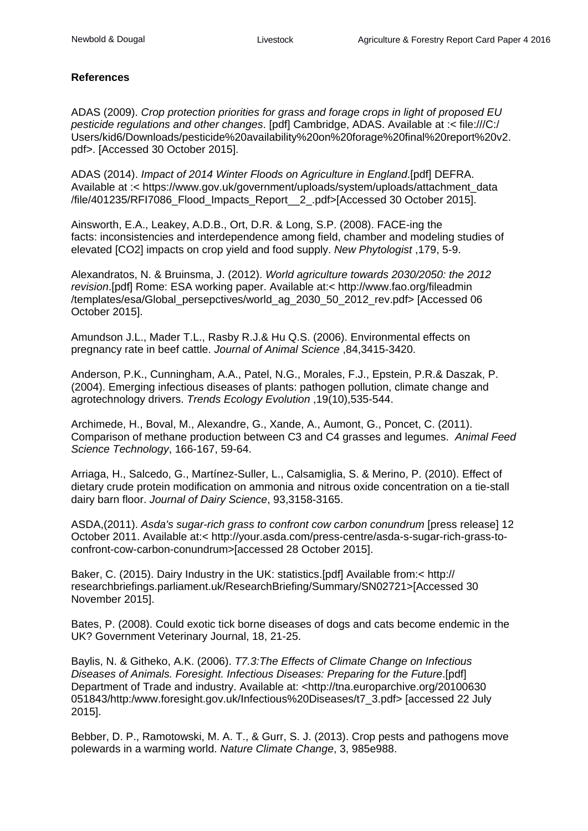#### **References**

ADAS (2009). *Crop protection priorities for grass and forage crops in light of proposed EU pesticide regulations and other changes*. [pdf] Cambridge, ADAS. Available at :< file:///C:/ Users/kid6/Downloads/pesticide%20availability%20on%20forage%20final%20report%20v2. pdf>. [Accessed 30 October 2015].

ADAS (2014). *Impact of 2014 Winter Floods on Agriculture in England*.[pdf] DEFRA. Available at :< https://www.gov.uk/government/uploads/system/uploads/attachment\_data /file/401235/RFI7086\_Flood\_Impacts\_Report\_\_2\_.pdf>[Accessed 30 October 2015].

Ainsworth, E.A., Leakey, A.D.B., Ort, D.R. & Long, S.P. (2008). FACE-ing the facts: inconsistencies and interdependence among field, chamber and modeling studies of elevated [CO2] impacts on crop yield and food supply. *New Phytologist* ,179, 5-9.

Alexandratos, N. & Bruinsma, J. (2012). *World agriculture towards 2030/2050: the 2012 revision*.[pdf] Rome: ESA working paper. Available at:< http://www.fao.org/fileadmin /templates/esa/Global\_persepctives/world\_ag\_2030\_50\_2012\_rev.pdf> [Accessed 06 October 2015].

Amundson J.L., Mader T.L., Rasby R.J.& Hu Q.S. (2006). Environmental effects on pregnancy rate in beef cattle. *Journal of Animal Science* ,84,3415-3420.

Anderson, P.K., Cunningham, A.A., Patel, N.G., Morales, F.J., Epstein, P.R.& Daszak, P. (2004). Emerging infectious diseases of plants: pathogen pollution, climate change and agrotechnology drivers. *Trends Ecology Evolution* ,19(10),535-544.

Archimede, H., Boval, M., Alexandre, G., Xande, A., Aumont, G., Poncet, C. (2011). Comparison of methane production between C3 and C4 grasses and legumes. *Animal Feed Science Technology*, 166-167, 59-64.

Arriaga, H., Salcedo, G., Martínez-Suller, L., Calsamiglia, S. & Merino, P. (2010). Effect of dietary crude protein modification on ammonia and nitrous oxide concentration on a tie-stall dairy barn floor. *Journal of Dairy Science*, 93,3158-3165.

ASDA,(2011). *Asda's sugar-rich grass to confront cow carbon conundrum* [press release] 12 October 2011. Available at:< http://your.asda.com/press-centre/asda-s-sugar-rich-grass-toconfront-cow-carbon-conundrum>[accessed 28 October 2015].

Baker, C. (2015). Dairy Industry in the UK: statistics.[pdf] Available from:< http:// researchbriefings.parliament.uk/ResearchBriefing/Summary/SN02721>[Accessed 30 November 2015].

Bates, P. (2008). Could exotic tick borne diseases of dogs and cats become endemic in the UK? Government Veterinary Journal, 18, 21-25.

Baylis, N. & Githeko, A.K. (2006). *T7.3:The Effects of Climate Change on Infectious Diseases of Animals. Foresight. Infectious Diseases: Preparing for the Future*.[pdf] Department of Trade and industry. Available at: <http://tna.europarchive.org/20100630 051843/http:/www.foresight.gov.uk/Infectious%20Diseases/t7\_3.pdf> [accessed 22 July 2015].

Bebber, D. P., Ramotowski, M. A. T., & Gurr, S. J. (2013). Crop pests and pathogens move polewards in a warming world. *Nature Climate Change*, 3, 985e988.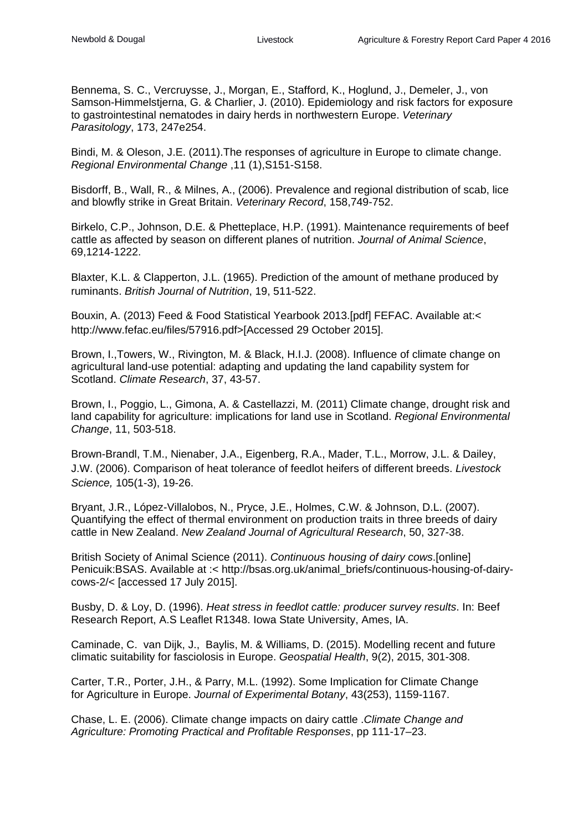Bennema, S. C., Vercruysse, J., Morgan, E., Stafford, K., Hoglund, J., Demeler, J., von Samson-Himmelstjerna, G. & Charlier, J. (2010). Epidemiology and risk factors for exposure to gastrointestinal nematodes in dairy herds in northwestern Europe. *Veterinary Parasitology*, 173, 247e254.

Bindi, M. & Oleson, J.E. (2011).The responses of agriculture in Europe to climate change. *Regional Environmental Change* ,11 (1),S151-S158.

Bisdorff, B., Wall, R., & Milnes, A., (2006). Prevalence and regional distribution of scab, lice and blowfly strike in Great Britain. *Veterinary Record*, 158,749-752.

Birkelo, C.P., Johnson, D.E. & Phetteplace, H.P. (1991). Maintenance requirements of beef cattle as affected by season on different planes of nutrition. *Journal of Animal Science*, 69,1214-1222.

Blaxter, K.L. & Clapperton, J.L. (1965). Prediction of the amount of methane produced by ruminants. *British Journal of Nutrition*, 19, 511-522.

Bouxin, A. (2013) Feed & Food Statistical Yearbook 2013.[pdf] FEFAC. Available at:< http://www.fefac.eu/files/57916.pdf>[Accessed 29 October 2015].

Brown, I.,Towers, W., Rivington, M. & Black, H.I.J. (2008). Influence of climate change on agricultural land-use potential: adapting and updating the land capability system for Scotland. *Climate Research*, 37, 43-57.

Brown, I., Poggio, L., Gimona, A. & Castellazzi, M. (2011) Climate change, drought risk and land capability for agriculture: implications for land use in Scotland. *Regional Environmental Change*, 11, 503-518.

Brown-Brandl, T.M., Nienaber, J.A., Eigenberg, R.A., Mader, T.L., Morrow, J.L. & Dailey, J.W. (2006). Comparison of heat tolerance of feedlot heifers of different breeds. *Livestock Science,* 105(1-3), 19-26.

Bryant, J.R., López-Villalobos, N., Pryce, J.E., Holmes, C.W. & Johnson, D.L. (2007). Quantifying the effect of thermal environment on production traits in three breeds of dairy cattle in New Zealand. *New Zealand Journal of Agricultural Research*, 50, 327-38.

British Society of Animal Science (2011). *Continuous housing of dairy cows*.[online] Penicuik:BSAS. Available at :< http://bsas.org.uk/animal\_briefs/continuous-housing-of-dairycows-2/< [accessed 17 July 2015].

Busby, D. & Loy, D. (1996). *Heat stress in feedlot cattle: producer survey results*. In: Beef Research Report, A.S Leaflet R1348. Iowa State University, Ames, IA.

Caminade, C. van Dijk, J., Baylis, M. & Williams, D. (2015). Modelling recent and future climatic suitability for fasciolosis in Europe. *Geospatial Health*, 9(2), 2015, 301-308.

Carter, T.R., Porter, J.H., & Parry, M.L. (1992). Some Implication for Climate Change for Agriculture in Europe. *Journal of Experimental Botany*, 43(253), 1159-1167.

Chase, L. E. (2006). Climate change impacts on dairy cattle .*Climate Change and Agriculture: Promoting Practical and Profitable Responses*, pp 111-17–23.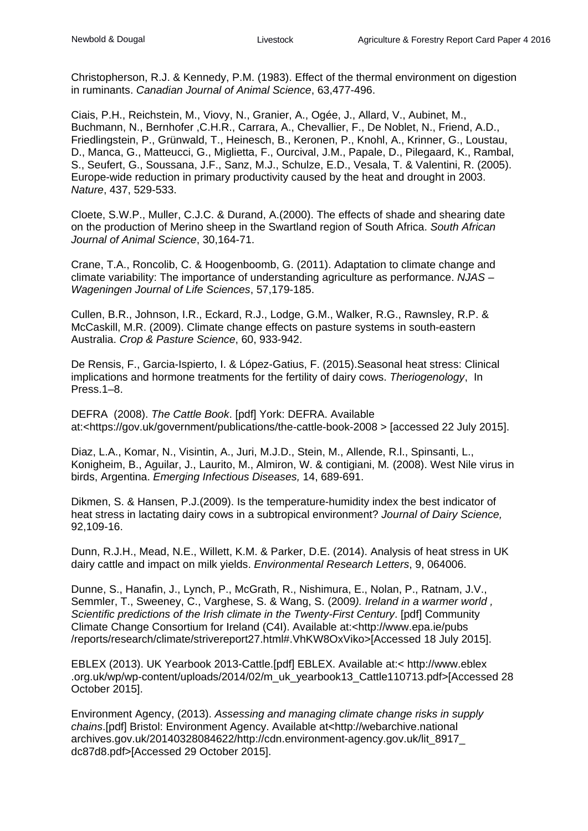Christopherson, R.J. & Kennedy, P.M. (1983). Effect of the thermal environment on digestion in ruminants. *Canadian Journal of Animal Science*, 63,477-496.

Ciais, P.H., Reichstein, M., Viovy, N., Granier, A., Ogée, J., Allard, V., Aubinet, M., Buchmann, N., Bernhofer ,C.H.R., Carrara, A., Chevallier, F., De Noblet, N., Friend, A.D., Friedlingstein, P., Grünwald, T., Heinesch, B., Keronen, P., Knohl, A., Krinner, G., Loustau, D., Manca, G., Matteucci, G., Miglietta, F., Ourcival, J.M., Papale, D., Pilegaard, K., Rambal, S., Seufert, G., Soussana, J.F., Sanz, M.J., Schulze, E.D., Vesala, T. & Valentini, R. (2005). Europe-wide reduction in primary productivity caused by the heat and drought in 2003. *Nature*, 437, 529-533.

Cloete, S.W.P., Muller, C.J.C. & Durand, A.(2000). The effects of shade and shearing date on the production of Merino sheep in the Swartland region of South Africa. *South African Journal of Animal Science*, 30,164-71.

Crane, T.A., Roncolib, C. & Hoogenboomb, G. (2011). Adaptation to climate change and climate variability: The importance of understanding agriculture as performance. *NJAS – Wageningen Journal of Life Sciences*, 57,179-185.

Cullen, B.R., Johnson, I.R., Eckard, R.J., Lodge, G.M., Walker, R.G., Rawnsley, R.P. & McCaskill, M.R. (2009). Climate change effects on pasture systems in south-eastern Australia. *Crop & Pasture Science*, 60, 933-942.

De Rensis, F., Garcia-Ispierto, I. & López-Gatius, F. (2015).Seasonal heat stress: Clinical implications and hormone treatments for the fertility of dairy cows. *Theriogenology*, In Press.1–8.

DEFRA (2008). *The Cattle Book*. [pdf] York: DEFRA. Available at:<https://gov.uk/government/publications/the-cattle-book-2008 > [accessed 22 July 2015].

Diaz, L.A., Komar, N., Visintin, A., Juri, M.J.D., Stein, M., Allende, R.l., Spinsanti, L., Konigheim, B., Aguilar, J., Laurito, M., Almiron, W. & contigiani, M*.* (2008). West Nile virus in birds, Argentina. *Emerging Infectious Diseases,* 14, 689-691.

Dikmen, S. & Hansen, P.J.(2009). Is the temperature-humidity index the best indicator of heat stress in lactating dairy cows in a subtropical environment? *Journal of Dairy Science,* 92,109-16.

Dunn, R.J.H., Mead, N.E., Willett, K.M. & Parker, D.E. (2014). Analysis of heat stress in UK dairy cattle and impact on milk yields. *Environmental Research Letters*, 9, 064006.

Dunne, S., Hanafin, J., Lynch, P., McGrath, R., Nishimura, E., Nolan, P., Ratnam, J.V., Semmler, T., Sweeney, C., Varghese, S. & Wang, S. (2009*). Ireland in a warmer world , Scientific predictions of the Irish climate in the Twenty-First Century*. [pdf] Community Climate Change Consortium for Ireland (C4I). Available at:<http://www.epa.ie/pubs /reports/research/climate/strivereport27.html#.VhKW8OxViko>[Accessed 18 July 2015].

EBLEX (2013). UK Yearbook 2013-Cattle.[pdf] EBLEX. Available at:< http://www.eblex .org.uk/wp/wp-content/uploads/2014/02/m\_uk\_yearbook13\_Cattle110713.pdf>[Accessed 28 October 2015].

Environment Agency, (2013). *Assessing and managing climate change risks in supply chains*.[pdf] Bristol: Environment Agency. Available at<http://webarchive.national archives.gov.uk/20140328084622/http://cdn.environment-agency.gov.uk/lit\_8917\_ dc87d8.pdf>[Accessed 29 October 2015].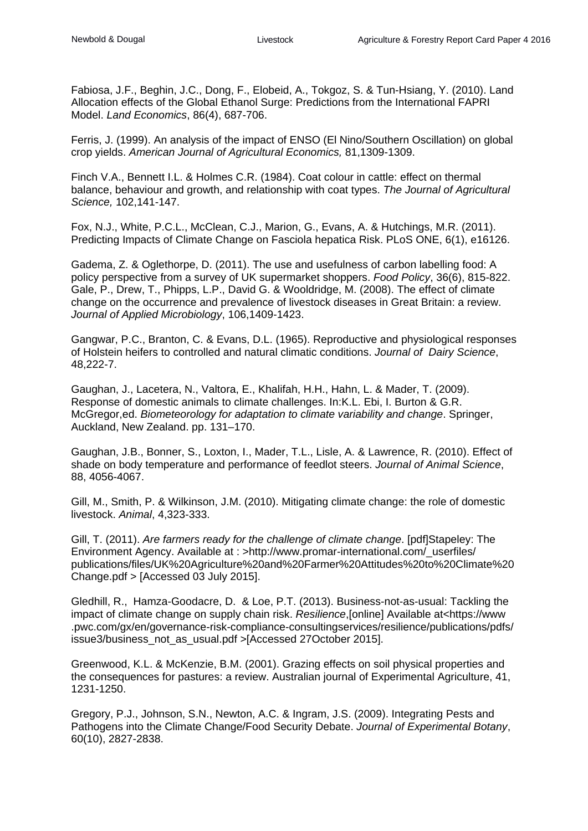Fabiosa, J.F., Beghin, J.C., Dong, F., Elobeid, A., Tokgoz, S. & Tun-Hsiang, Y. (2010). Land Allocation effects of the Global Ethanol Surge: Predictions from the International FAPRI Model. *Land Economics*, 86(4), 687-706.

Ferris, J. (1999). An analysis of the impact of ENSO (El Nino/Southern Oscillation) on global crop yields. *American Journal of Agricultural Economics,* 81,1309-1309.

Finch V.A., Bennett I.L. & Holmes C.R. (1984). Coat colour in cattle: effect on thermal balance, behaviour and growth, and relationship with coat types. *The Journal of Agricultural Science,* 102,141-147.

Fox, N.J., White, P.C.L., McClean, C.J., Marion, G., Evans, A. & Hutchings, M.R. (2011). Predicting Impacts of Climate Change on Fasciola hepatica Risk. PLoS ONE, 6(1), e16126.

Gadema, Z. & Oglethorpe, D. (2011). The use and usefulness of carbon labelling food: A policy perspective from a survey of UK supermarket shoppers. *Food Policy*, 36(6), 815-822. Gale, P., Drew, T., Phipps, L.P., David G. & Wooldridge, M. (2008). The effect of climate change on the occurrence and prevalence of livestock diseases in Great Britain: a review. *Journal of Applied Microbiology*, 106,1409-1423.

Gangwar, P.C., Branton, C. & Evans, D.L. (1965). Reproductive and physiological responses of Holstein heifers to controlled and natural climatic conditions. *Journal of Dairy Science*, 48,222-7.

Gaughan, J., Lacetera, N., Valtora, E., Khalifah, H.H., Hahn, L. & Mader, T. (2009). Response of domestic animals to climate challenges. In:K.L. Ebi, I. Burton & G.R. McGregor,ed. *Biometeorology for adaptation to climate variability and change*. Springer, Auckland, New Zealand. pp. 131–170.

Gaughan, J.B., Bonner, S., Loxton, I., Mader, T.L., Lisle, A. & Lawrence, R. (2010). Effect of shade on body temperature and performance of feedlot steers. *Journal of Animal Science*, 88, 4056-4067.

Gill, M., Smith, P. & Wilkinson, J.M. (2010). Mitigating climate change: the role of domestic livestock. *Animal*, 4,323-333.

Gill, T. (2011). *Are farmers ready for the challenge of climate change*. [pdf]Stapeley: The Environment Agency. Available at : >http://www.promar-international.com/\_userfiles/ publications/files/UK%20Agriculture%20and%20Farmer%20Attitudes%20to%20Climate%20 Change.pdf > [Accessed 03 July 2015].

Gledhill, R., Hamza-Goodacre, D. & Loe, P.T. (2013). Business-not-as-usual: Tackling the impact of climate change on supply chain risk. *Resilience*,[online] Available at<https://www .pwc.com/gx/en/governance-risk-compliance-consultingservices/resilience/publications/pdfs/ issue3/business\_not\_as\_usual.pdf >[Accessed 27October 2015].

Greenwood, K.L. & McKenzie, B.M. (2001). Grazing effects on soil physical properties and the consequences for pastures: a review. Australian journal of Experimental Agriculture, 41, 1231-1250.

Gregory, P.J., Johnson, S.N., Newton, A.C. & Ingram, J.S. (2009). Integrating Pests and Pathogens into the Climate Change/Food Security Debate. *Journal of Experimental Botany*, 60(10), 2827-2838.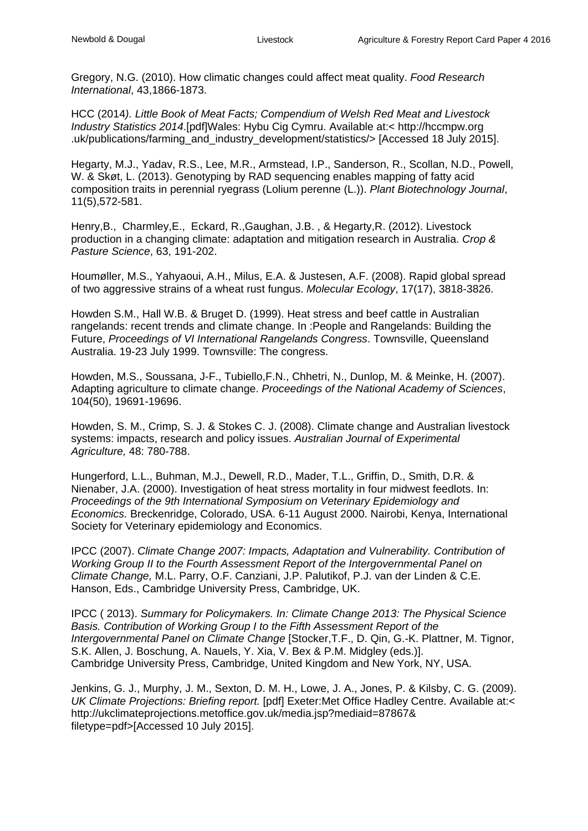Gregory, N.G. (2010). How climatic changes could affect meat quality. *Food Research International*, 43,1866-1873.

HCC (2014*). Little Book of Meat Facts; Compendium of Welsh Red Meat and Livestock Industry Statistics 2014*.[pdf]Wales: Hybu Cig Cymru. Available at:< http://hccmpw.org .uk/publications/farming\_and\_industry\_development/statistics/> [Accessed 18 July 2015].

Hegarty, M.J., Yadav, R.S., Lee, M.R., Armstead, I.P., Sanderson, R., Scollan, N.D., Powell, W. & Skøt, L. (2013). Genotyping by RAD sequencing enables mapping of fatty acid composition traits in perennial ryegrass (Lolium perenne (L.)). *Plant Biotechnology Journal*, 11(5),572-581.

Henry,B., Charmley,E., Eckard, R.,Gaughan, J.B. , & Hegarty,R. (2012). Livestock production in a changing climate: adaptation and mitigation research in Australia. *Crop & Pasture Science*, 63, 191-202.

Houmøller, M.S., Yahyaoui, A.H., Milus, E.A. & Justesen, A.F. (2008). Rapid global spread of two aggressive strains of a wheat rust fungus. *Molecular Ecology*, 17(17), 3818-3826.

Howden S.M., Hall W.B. & Bruget D. (1999). Heat stress and beef cattle in Australian rangelands: recent trends and climate change. In :People and Rangelands: Building the Future, *Proceedings of VI International Rangelands Congress*. Townsville, Queensland Australia. 19-23 July 1999. Townsville: The congress.

Howden, M.S., Soussana, J-F., Tubiello,F.N., Chhetri, N., Dunlop, M. & Meinke, H. (2007). Adapting agriculture to climate change. *Proceedings of the National Academy of Sciences*, 104(50), 19691-19696.

Howden, S. M., Crimp, S. J. & Stokes C. J. (2008). Climate change and Australian livestock systems: impacts, research and policy issues. *Australian Journal of Experimental Agriculture,* 48: 780-788.

Hungerford, L.L., Buhman, M.J., Dewell, R.D., Mader, T.L., Griffin, D., Smith, D.R. & Nienaber, J.A. (2000). Investigation of heat stress mortality in four midwest feedlots. In: *Proceedings of the 9th International Symposium on Veterinary Epidemiology and Economics.* Breckenridge, Colorado, USA. 6-11 August 2000. Nairobi, Kenya, International Society for Veterinary epidemiology and Economics.

IPCC (2007). *Climate Change 2007: Impacts, Adaptation and Vulnerability. Contribution of Working Group II to the Fourth Assessment Report of the Intergovernmental Panel on Climate Change,* M.L. Parry, O.F. Canziani, J.P. Palutikof, P.J. van der Linden & C.E. Hanson, Eds., Cambridge University Press, Cambridge, UK.

IPCC ( 2013). *Summary for Policymakers. In: Climate Change 2013: The Physical Science Basis. Contribution of Working Group I to the Fifth Assessment Report of the Intergovernmental Panel on Climate Change* [Stocker,T.F., D. Qin, G.-K. Plattner, M. Tignor, S.K. Allen, J. Boschung, A. Nauels, Y. Xia, V. Bex & P.M. Midgley (eds.)]. Cambridge University Press, Cambridge, United Kingdom and New York, NY, USA.

Jenkins, G. J., Murphy, J. M., Sexton, D. M. H., Lowe, J. A., Jones, P. & Kilsby, C. G. (2009). *UK Climate Projections: Briefing report.* [pdf] Exeter:Met Office Hadley Centre. Available at:< http://ukclimateprojections.metoffice.gov.uk/media.jsp?mediaid=87867& filetype=pdf>[Accessed 10 July 2015].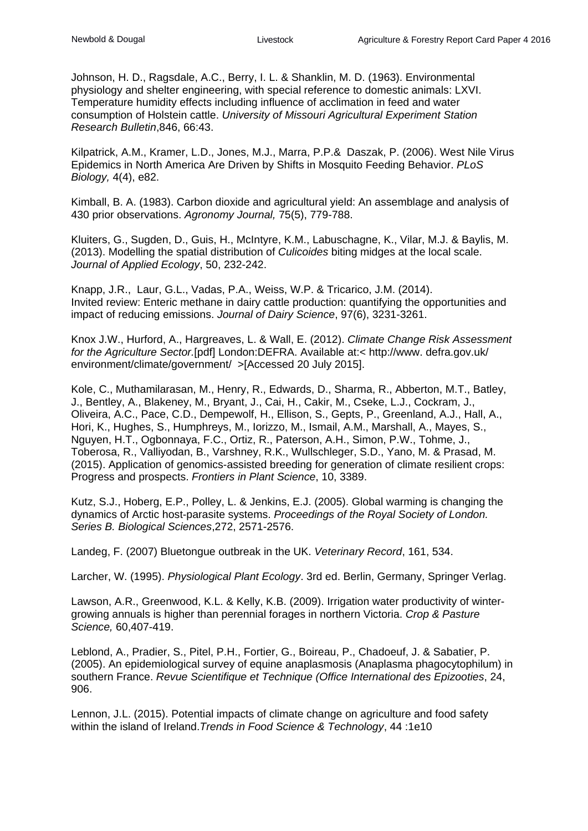Johnson, H. D., Ragsdale, A.C., Berry, I. L. & Shanklin, M. D. (1963). Environmental physiology and shelter engineering, with special reference to domestic animals: LXVI. Temperature humidity effects including influence of acclimation in feed and water consumption of Holstein cattle. *University of Missouri Agricultural Experiment Station Research Bulletin*,846, 66:43.

Kilpatrick, A.M., Kramer, L.D., Jones, M.J., Marra, P.P.& Daszak, P. (2006). West Nile Virus Epidemics in North America Are Driven by Shifts in Mosquito Feeding Behavior. *PLoS Biology,* 4(4), e82.

Kimball, B. A. (1983). Carbon dioxide and agricultural yield: An assemblage and analysis of 430 prior observations. *Agronomy Journal,* 75(5), 779-788.

Kluiters, G., Sugden, D., Guis, H., McIntyre, K.M., Labuschagne, K., Vilar, M.J. & Baylis, M. (2013). Modelling the spatial distribution of *Culicoides* biting midges at the local scale. *Journal of Applied Ecology*, 50, 232-242.

Knapp, J.R., Laur, G.L., Vadas, P.A., Weiss, W.P. & Tricarico, J.M. (2014). Invited review: Enteric methane in dairy cattle production: quantifying the opportunities and impact of reducing emissions. *Journal of Dairy Science*, 97(6), 3231-3261.

Knox J.W., Hurford, A., Hargreaves, L. & Wall, E. (2012). *Climate Change Risk Assessment for the Agriculture Sector.*[pdf] London:DEFRA. Available at:< http://www. defra.gov.uk/ environment/climate/government/ >[Accessed 20 July 2015].

Kole, C., Muthamilarasan, M., Henry, R., Edwards, D., Sharma, R., Abberton, M.T., Batley, J., Bentley, A., Blakeney, M., Bryant, J., Cai, H., Cakir, M., Cseke, L.J., Cockram, J., Oliveira, A.C., Pace, C.D., Dempewolf, H., Ellison, S., Gepts, P., Greenland, A.J., Hall, A., Hori, K., Hughes, S., Humphreys, M., Iorizzo, M., Ismail, A.M., Marshall, A., Mayes, S., Nguyen, H.T., Ogbonnaya, F.C., Ortiz, R., Paterson, A.H., Simon, P.W., Tohme, J., Toberosa, R., Valliyodan, B., Varshney, R.K., Wullschleger, S.D., Yano, M. & Prasad, M. (2015). Application of genomics-assisted breeding for generation of climate resilient crops: Progress and prospects. *Frontiers in Plant Science*, 10, 3389.

Kutz, S.J., Hoberg, E.P., Polley, L. & Jenkins, E.J. (2005). Global warming is changing the dynamics of Arctic host-parasite systems. *Proceedings of the Royal Society of London. Series B. Biological Sciences*,272, 2571-2576.

Landeg, F. (2007) Bluetongue outbreak in the UK. *Veterinary Record*, 161, 534.

Larcher, W. (1995). *Physiological Plant Ecology*. 3rd ed. Berlin, Germany, Springer Verlag.

Lawson, A.R., Greenwood, K.L. & Kelly, K.B. (2009). Irrigation water productivity of wintergrowing annuals is higher than perennial forages in northern Victoria. *Crop & Pasture Science,* 60,407-419.

Leblond, A., Pradier, S., Pitel, P.H., Fortier, G., Boireau, P., Chadoeuf, J. & Sabatier, P. (2005). An epidemiological survey of equine anaplasmosis (Anaplasma phagocytophilum) in southern France. *Revue Scientifique et Technique (Office International des Epizooties*, 24, 906.

Lennon, J.L. (2015). Potential impacts of climate change on agriculture and food safety within the island of Ireland.*Trends in Food Science & Technology*, 44 :1e10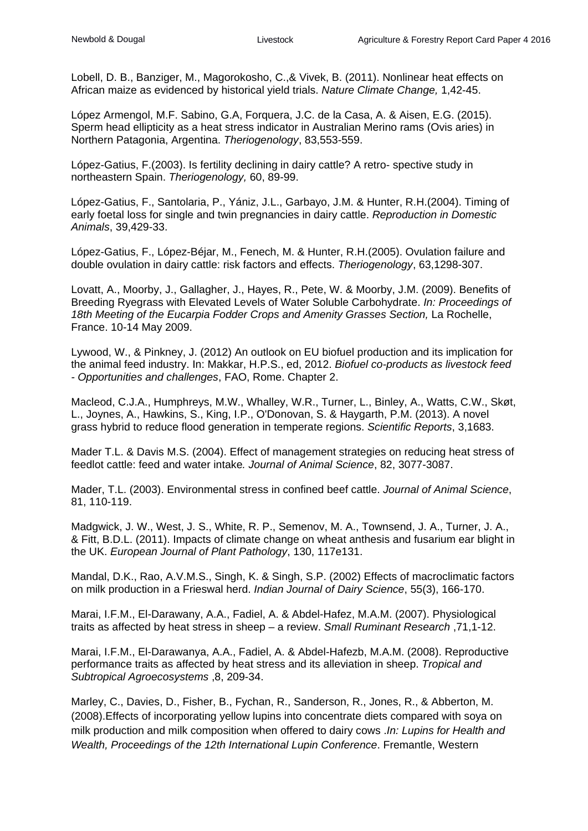Lobell, D. B., Banziger, M., Magorokosho, C.,& Vivek, B. (2011). Nonlinear heat effects on African maize as evidenced by historical yield trials. *Nature Climate Change,* 1,42-45.

López Armengol, M.F. Sabino, G.A, Forquera, J.C. de la Casa, A. & Aisen, E.G. (2015). Sperm head ellipticity as a heat stress indicator in Australian Merino rams (Ovis aries) in Northern Patagonia, Argentina. *Theriogenology*, 83,553-559.

López-Gatius, F.(2003). Is fertility declining in dairy cattle? A retro- spective study in northeastern Spain. *Theriogenology,* 60, 89-99.

López-Gatius, F., Santolaria, P., Yániz, J.L., Garbayo, J.M. & Hunter, R.H.(2004). Timing of early foetal loss for single and twin pregnancies in dairy cattle. *Reproduction in Domestic Animals*, 39,429-33.

López-Gatius, F., López-Béjar, M., Fenech, M. & Hunter, R.H.(2005). Ovulation failure and double ovulation in dairy cattle: risk factors and effects. *Theriogenology*, 63,1298-307.

Lovatt, A., Moorby, J., Gallagher, J., Hayes, R., Pete, W. & Moorby, J.M. (2009). Benefits of Breeding Ryegrass with Elevated Levels of Water Soluble Carbohydrate. *In: Proceedings of 18th Meeting of the Eucarpia Fodder Crops and Amenity Grasses Section,* La Rochelle, France. 10-14 May 2009.

Lywood, W., & Pinkney, J. (2012) An outlook on EU biofuel production and its implication for the animal feed industry. In: Makkar, H.P.S., ed, 2012. *Biofuel co-products as livestock feed - Opportunities and challenges*, FAO, Rome. Chapter 2.

Macleod, C.J.A., Humphreys, M.W., Whalley, W.R., Turner, L., Binley, A., Watts, C.W., Skøt, L., Joynes, A., Hawkins, S., King, I.P., O'Donovan, S. & Haygarth, P.M. (2013). A novel grass hybrid to reduce flood generation in temperate regions. *Scientific Reports*, 3,1683.

Mader T.L. & Davis M.S. (2004). Effect of management strategies on reducing heat stress of feedlot cattle: feed and water intake*. Journal of Animal Science*, 82, 3077-3087.

Mader, T.L. (2003). Environmental stress in confined beef cattle. *Journal of Animal Science*, 81, 110-119.

Madgwick, J. W., West, J. S., White, R. P., Semenov, M. A., Townsend, J. A., Turner, J. A., & Fitt, B.D.L. (2011). Impacts of climate change on wheat anthesis and fusarium ear blight in the UK. *European Journal of Plant Pathology*, 130, 117e131.

Mandal, D.K., Rao, A.V.M.S., Singh, K. & Singh, S.P. (2002) Effects of macroclimatic factors on milk production in a Frieswal herd. *Indian Journal of Dairy Science*, 55(3), 166-170.

Marai, I.F.M., El-Darawany, A.A., Fadiel, A. & Abdel-Hafez, M.A.M. (2007). Physiological traits as affected by heat stress in sheep – a review. *Small Ruminant Research* ,71,1-12.

Marai, I.F.M., El-Darawanya, A.A., Fadiel, A. & Abdel-Hafezb, M.A.M. (2008). Reproductive performance traits as affected by heat stress and its alleviation in sheep. *Tropical and Subtropical Agroecosystems* ,8, 209-34.

Marley, C., Davies, D., Fisher, B., Fychan, R., Sanderson, R., Jones, R., & Abberton, M. (2008).Effects of incorporating yellow lupins into concentrate diets compared with soya on milk production and milk composition when offered to dairy cows .*In: Lupins for Health and Wealth, Proceedings of the 12th International Lupin Conference*. Fremantle, Western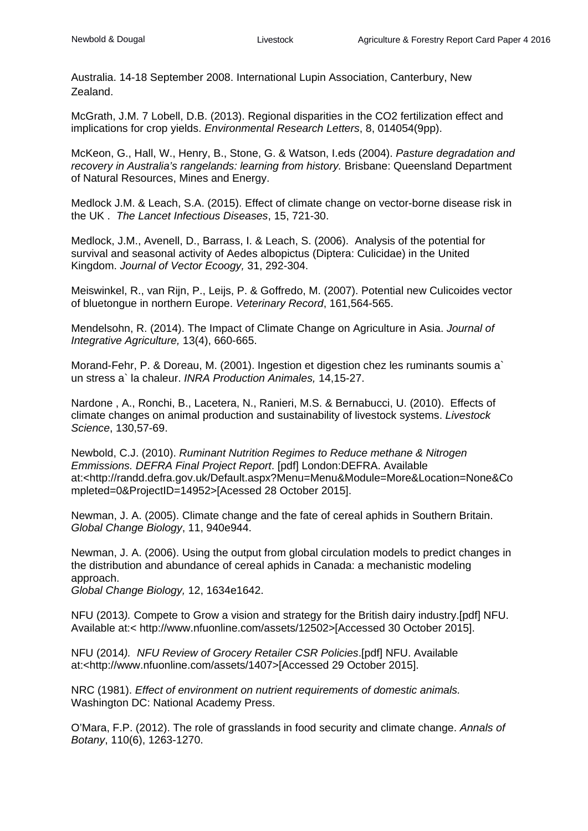Australia. 14-18 September 2008. International Lupin Association, Canterbury, New Zealand.

McGrath, J.M. 7 Lobell, D.B. (2013). Regional disparities in the CO2 fertilization effect and implications for crop yields. *Environmental Research Letters*, 8, 014054(9pp).

McKeon, G., Hall, W., Henry, B., Stone, G. & Watson, I.eds (2004). *Pasture degradation and recovery in Australia's rangelands: learning from history.* Brisbane: Queensland Department of Natural Resources, Mines and Energy.

Medlock J.M. & Leach, S.A. (2015). Effect of climate change on vector-borne disease risk in the UK . *The Lancet Infectious Diseases*, 15, 721-30.

Medlock, J.M., Avenell, D., Barrass, I. & Leach, S. (2006). Analysis of the potential for survival and seasonal activity of Aedes albopictus (Diptera: Culicidae) in the United Kingdom. *Journal of Vector Ecoogy,* 31, 292-304.

Meiswinkel, R., van Rijn, P., Leijs, P. & Goffredo, M. (2007). Potential new Culicoides vector of bluetongue in northern Europe. *Veterinary Record*, 161,564-565.

Mendelsohn, R. (2014). The Impact of Climate Change on Agriculture in Asia. *Journal of Integrative Agriculture,* 13(4), 660-665.

Morand-Fehr, P. & Doreau, M. (2001). Ingestion et digestion chez les ruminants soumis a` un stress a` la chaleur. *INRA Production Animales,* 14,15-27.

Nardone , A., Ronchi, B., Lacetera, N., Ranieri, M.S. & Bernabucci, U. (2010). Effects of climate changes on animal production and sustainability of livestock systems. *Livestock Science*, 130,57-69.

Newbold, C.J. (2010). *Ruminant Nutrition Regimes to Reduce methane & Nitrogen Emmissions. DEFRA Final Project Report*. [pdf] London:DEFRA. Available at:<http://randd.defra.gov.uk/Default.aspx?Menu=Menu&Module=More&Location=None&Co mpleted=0&ProjectID=14952>[Acessed 28 October 2015].

Newman, J. A. (2005). Climate change and the fate of cereal aphids in Southern Britain. *Global Change Biology*, 11, 940e944.

Newman, J. A. (2006). Using the output from global circulation models to predict changes in the distribution and abundance of cereal aphids in Canada: a mechanistic modeling approach.

*Global Change Biology,* 12, 1634e1642.

NFU (2013*).* Compete to Grow a vision and strategy for the British dairy industry.[pdf] NFU. Available at:< http://www.nfuonline.com/assets/12502>[Accessed 30 October 2015].

NFU (2014*). NFU Review of Grocery Retailer CSR Policies*.[pdf] NFU. Available at:<http://www.nfuonline.com/assets/1407>[Accessed 29 October 2015].

NRC (1981). *Effect of environment on nutrient requirements of domestic animals.* Washington DC: National Academy Press.

O'Mara, F.P. (2012). The role of grasslands in food security and climate change. *Annals of Botany*, 110(6), 1263-1270.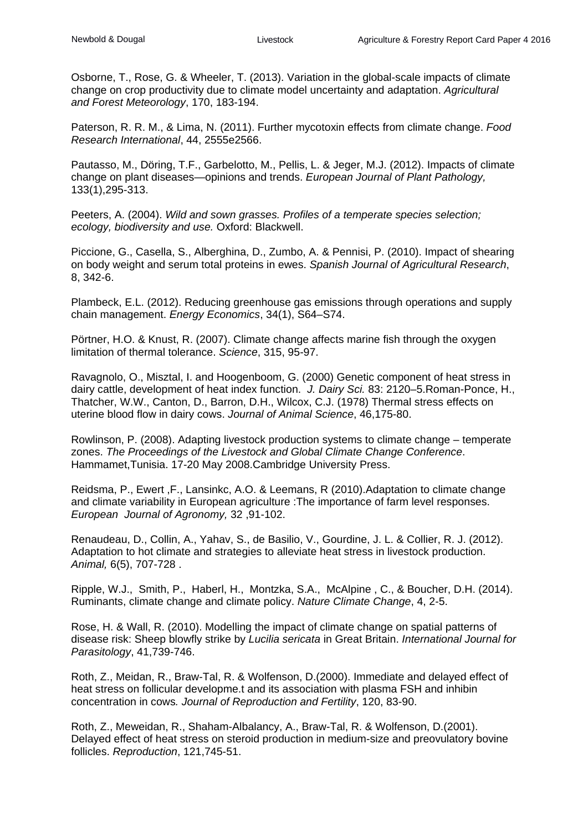Osborne, T., Rose, G. & Wheeler, T. (2013). Variation in the global-scale impacts of climate change on crop productivity due to climate model uncertainty and adaptation. *Agricultural and Forest Meteorology*, 170, 183-194.

Paterson, R. R. M., & Lima, N. (2011). Further mycotoxin effects from climate change. *Food Research International*, 44, 2555e2566.

Pautasso, M., Döring, T.F., Garbelotto, M., Pellis, L. & Jeger, M.J. (2012). Impacts of climate change on plant diseases—opinions and trends. *European Journal of Plant Pathology,* 133(1),295-313.

Peeters, A. (2004). *Wild and sown grasses. Profiles of a temperate species selection; ecology, biodiversity and use.* Oxford: Blackwell.

Piccione, G., Casella, S., Alberghina, D., Zumbo, A. & Pennisi, P. (2010). Impact of shearing on body weight and serum total proteins in ewes. *Spanish Journal of Agricultural Research*, 8, 342-6.

Plambeck, E.L. (2012). Reducing greenhouse gas emissions through operations and supply chain management. *Energy Economics*, 34(1), S64–S74.

Pörtner, H.O. & Knust, R. (2007). Climate change affects marine fish through the oxygen limitation of thermal tolerance. *Science*, 315, 95-97.

Ravagnolo, O., Misztal, I. and Hoogenboom, G. (2000) Genetic component of heat stress in dairy cattle, development of heat index function. *J. Dairy Sci.* 83: 2120–5.Roman-Ponce, H., Thatcher, W.W., Canton, D., Barron, D.H., Wilcox, C.J. (1978) Thermal stress effects on uterine blood flow in dairy cows. *Journal of Animal Science*, 46,175-80.

Rowlinson, P. (2008). Adapting livestock production systems to climate change – temperate zones. *The Proceedings of the Livestock and Global Climate Change Conference*. Hammamet,Tunisia. 17-20 May 2008.Cambridge University Press.

Reidsma, P., Ewert ,F., Lansinkc, A.O. & Leemans, R (2010).Adaptation to climate change and climate variability in European agriculture :The importance of farm level responses. *European Journal of Agronomy,* 32 ,91-102.

Renaudeau, D., Collin, A., Yahav, S., de Basilio, V., Gourdine, J. L. & Collier, R. J. (2012). Adaptation to hot climate and strategies to alleviate heat stress in livestock production. *Animal,* 6(5), 707-728 .

Ripple, W.J., Smith, P., Haberl, H., Montzka, S.A., McAlpine , C., & Boucher, D.H. (2014). Ruminants, climate change and climate policy. *Nature Climate Change*, 4, 2-5.

Rose, H. & Wall, R. (2010). Modelling the impact of climate change on spatial patterns of disease risk: Sheep blowfly strike by *Lucilia sericata* in Great Britain. *International Journal for Parasitology*, 41,739-746.

Roth, Z., Meidan, R., Braw-Tal, R. & Wolfenson, D.(2000). Immediate and delayed effect of heat stress on follicular developme.t and its association with plasma FSH and inhibin concentration in cows*. Journal of Reproduction and Fertility*, 120, 83-90.

Roth, Z., Meweidan, R., Shaham-Albalancy, A., Braw-Tal, R. & Wolfenson, D.(2001). Delayed effect of heat stress on steroid production in medium-size and preovulatory bovine follicles. *Reproduction*, 121,745-51.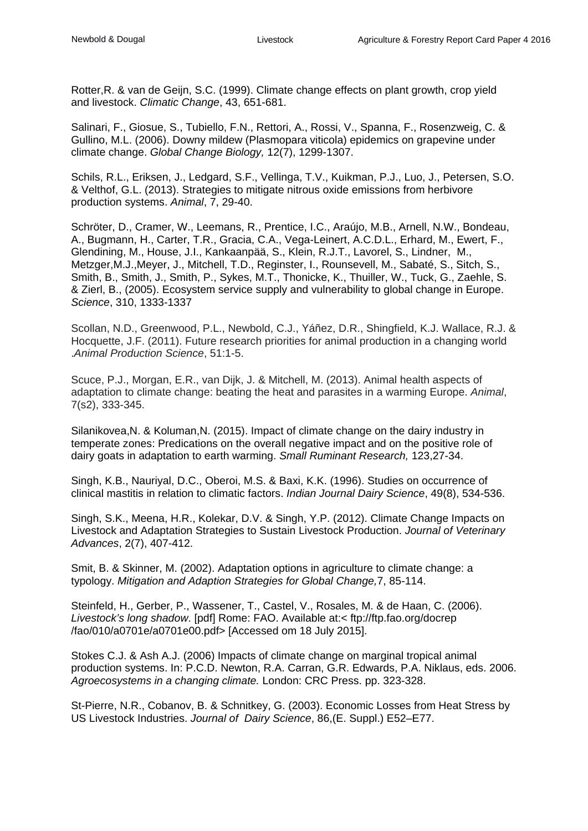Rotter,R. & van de Geijn, S.C. (1999). Climate change effects on plant growth, crop yield and livestock. *Climatic Change*, 43, 651-681.

Salinari, F., Giosue, S., Tubiello, F.N., Rettori, A., Rossi, V., Spanna, F., Rosenzweig, C. & Gullino, M.L. (2006). Downy mildew (Plasmopara viticola) epidemics on grapevine under climate change. *Global Change Biology,* 12(7), 1299-1307.

Schils, R.L., Eriksen, J., Ledgard, S.F., Vellinga, T.V., Kuikman, P.J., Luo, J., Petersen, S.O. & Velthof, G.L. (2013). Strategies to mitigate nitrous oxide emissions from herbivore production systems. *Animal*, 7, 29-40.

Schröter, D., Cramer, W., Leemans, R., Prentice, I.C., Araújo, M.B., Arnell, N.W., Bondeau, A., Bugmann, H., Carter, T.R., Gracia, C.A., Vega-Leinert, A.C.D.L., Erhard, M., Ewert, F., Glendining, M., House, J.I., Kankaanpää, S., Klein, R.J.T., Lavorel, S., Lindner, M., Metzger,M.J.,Meyer, J., Mitchell, T.D., Reginster, I., Rounsevell, M., Sabaté, S., Sitch, S., Smith, B., Smith, J., Smith, P., Sykes, M.T., Thonicke, K., Thuiller, W., Tuck, G., Zaehle, S. & Zierl, B., (2005). Ecosystem service supply and vulnerability to global change in Europe. *Science*, 310, 1333-1337

Scollan, N.D., Greenwood, P.L., Newbold, C.J., Yáñez, D.R., Shingfield, K.J. Wallace, R.J. & Hocquette, J.F. (2011). Future research priorities for animal production in a changing world .*Animal Production Science*, 51:1-5.

Scuce, P.J., Morgan, E.R., van Dijk, J. & Mitchell, M. (2013). Animal health aspects of adaptation to climate change: beating the heat and parasites in a warming Europe. *Animal*, 7(s2), 333-345.

Silanikovea,N. & Koluman,N. (2015). Impact of climate change on the dairy industry in temperate zones: Predications on the overall negative impact and on the positive role of dairy goats in adaptation to earth warming. *Small Ruminant Research,* 123,27-34.

Singh, K.B., Nauriyal, D.C., Oberoi, M.S. & Baxi, K.K. (1996). Studies on occurrence of clinical mastitis in relation to climatic factors. *Indian Journal Dairy Science*, 49(8), 534-536.

Singh, S.K., Meena, H.R., Kolekar, D.V. & Singh, Y.P. (2012). Climate Change Impacts on Livestock and Adaptation Strategies to Sustain Livestock Production. *Journal of Veterinary Advances*, 2(7), 407-412.

Smit, B. & Skinner, M. (2002). Adaptation options in agriculture to climate change: a typology. *Mitigation and Adaption Strategies for Global Change,*7, 85-114.

Steinfeld, H., Gerber, P., Wassener, T., Castel, V., Rosales, M. & de Haan, C. (2006). *Livestock's long shadow*. [pdf] Rome: FAO. Available at:< ftp://ftp.fao.org/docrep /fao/010/a0701e/a0701e00.pdf> [Accessed om 18 July 2015].

Stokes C.J. & Ash A.J. (2006) Impacts of climate change on marginal tropical animal production systems. In: P.C.D. Newton, R.A. Carran, G.R. Edwards, P.A. Niklaus, eds. 2006. *Agroecosystems in a changing climate.* London: CRC Press. pp. 323-328.

St-Pierre, N.R., Cobanov, B. & Schnitkey, G. (2003). Economic Losses from Heat Stress by US Livestock Industries. *Journal of Dairy Science*, 86,(E. Suppl.) E52–E77.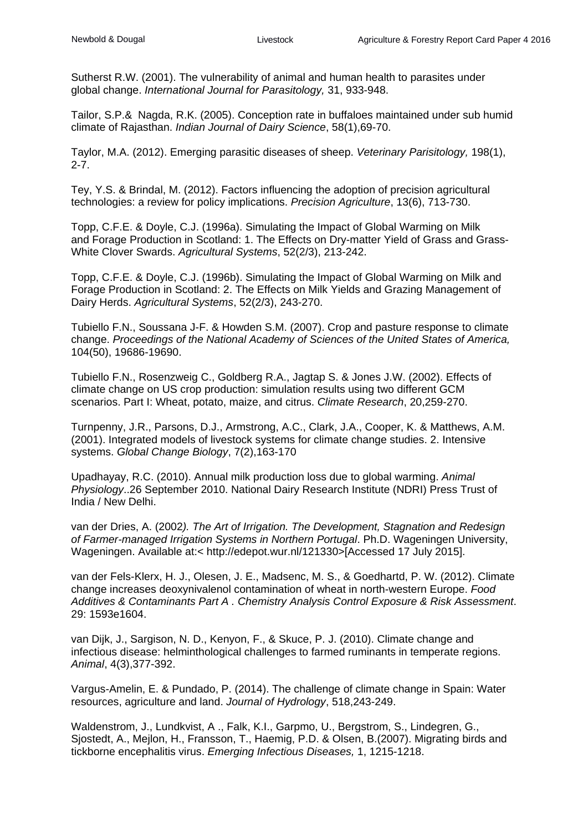Sutherst R.W. (2001). The vulnerability of animal and human health to parasites under global change. *International Journal for Parasitology,* 31, 933-948.

Tailor, S.P.& Nagda, R.K. (2005). Conception rate in buffaloes maintained under sub humid climate of Rajasthan. *Indian Journal of Dairy Science*, 58(1),69-70.

Taylor, M.A. (2012). Emerging parasitic diseases of sheep. *Veterinary Parisitology,* 198(1), 2-7.

Tey, Y.S. & Brindal, M. (2012). Factors influencing the adoption of precision agricultural technologies: a review for policy implications. *Precision Agriculture*, 13(6), 713-730.

Topp, C.F.E. & Doyle, C.J. (1996a). Simulating the Impact of Global Warming on Milk and Forage Production in Scotland: 1. The Effects on Dry-matter Yield of Grass and Grass-White Clover Swards. *Agricultural Systems*, 52(2/3), 213-242.

Topp, C.F.E. & Doyle, C.J. (1996b). Simulating the Impact of Global Warming on Milk and Forage Production in Scotland: 2. The Effects on Milk Yields and Grazing Management of Dairy Herds. *Agricultural Systems*, 52(2/3), 243-270.

Tubiello F.N., Soussana J-F. & Howden S.M. (2007). Crop and pasture response to climate change. *Proceedings of the National Academy of Sciences of the United States of America,* 104(50), 19686-19690.

Tubiello F.N., Rosenzweig C., Goldberg R.A., Jagtap S. & Jones J.W. (2002). Effects of climate change on US crop production: simulation results using two different GCM scenarios. Part I: Wheat, potato, maize, and citrus. *Climate Research*, 20,259-270.

Turnpenny, J.R., Parsons, D.J., Armstrong, A.C., Clark, J.A., Cooper, K. & Matthews, A.M. (2001). Integrated models of livestock systems for climate change studies. 2. Intensive systems. *Global Change Biology*, 7(2),163-170

Upadhayay, R.C. (2010). Annual milk production loss due to global warming. *Animal Physiology*..26 September 2010. National Dairy Research Institute (NDRI) Press Trust of India / New Delhi.

van der Dries, A. (2002*). The Art of Irrigation. The Development, Stagnation and Redesign of Farmer-managed Irrigation Systems in Northern Portugal*. Ph.D. Wageningen University, Wageningen. Available at:< http://edepot.wur.nl/121330>[Accessed 17 July 2015].

van der Fels-Klerx, H. J., Olesen, J. E., Madsenc, M. S., & Goedhartd, P. W. (2012). Climate change increases deoxynivalenol contamination of wheat in north-western Europe. *Food Additives & Contaminants Part A . Chemistry Analysis Control Exposure & Risk Assessment*. 29: 1593e1604.

van Dijk, J., Sargison, N. D., Kenyon, F., & Skuce, P. J. (2010). Climate change and infectious disease: helminthological challenges to farmed ruminants in temperate regions. *Animal*, 4(3),377-392.

Vargus-Amelin, E. & Pundado, P. (2014). The challenge of climate change in Spain: Water resources, agriculture and land. *Journal of Hydrology*, 518,243-249.

Waldenstrom, J., Lundkvist, A ., Falk, K.I., Garpmo, U., Bergstrom, S., Lindegren, G., Sjostedt, A., Mejlon, H., Fransson, T., Haemig, P.D. & Olsen, B.(2007). Migrating birds and tickborne encephalitis virus. *Emerging Infectious Diseases,* 1, 1215-1218.